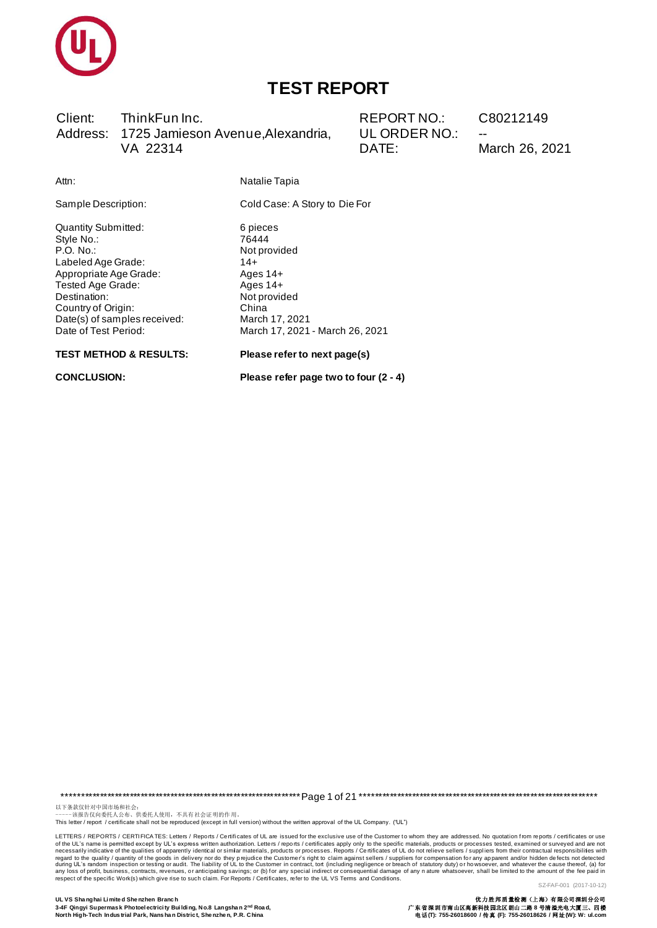

Client: ThinkFun Inc. Address: 1725 Jamieson Avenue, Alexandria, VA 22314

REPORT NO.: UL ORDER NO.: DATE:

C80212149

March 26, 2021

Attn:

Cold Case: A Story to Die For

Natalie Tapia

Quantity Submitted: Style No.: P.O. No.: Labeled Age Grade: Appropriate Age Grade: Tested Age Grade: Destination: Country of Origin: Date(s) of samples received: Date of Test Period:

Sample Description:

6 pieces 76444 Not provided  $14+$ Ages 14+ Ages  $14+$ Not provided China March 17, 2021 March 17, 2021 - March 26, 2021

#### **TEST METHOD & RESULTS:**

**CONCLUSION:** 

Please refer to next page(s)

Please refer page two to four (2 - 4)

以下条款仅针对中国市场和社会。<br>------该报告仅向委托人公布、供委托人使用,不具有 社会证 明的作用。<br>This letter / report / certificate shall not be reproduced (except in full version) without the written approval of the UL Company. ("UL")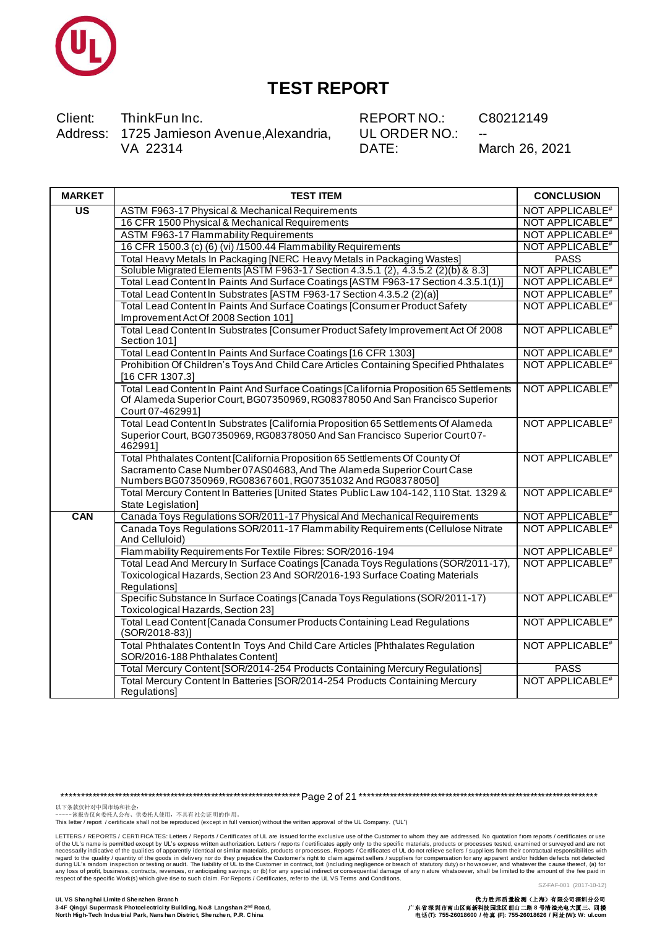

Client: ThinkFun Inc. Address: 1725 Jamieson Avenue, Alexandria, VA 22314

**REPORT NO.:** UL ORDER NO.: DATE:

C80212149

March 26, 2021

| <b>MARKET</b>                     | <b>TEST ITEM</b>                                                                                                                                                                                                    | <b>CONCLUSION</b>           |
|-----------------------------------|---------------------------------------------------------------------------------------------------------------------------------------------------------------------------------------------------------------------|-----------------------------|
| $\overline{\mathsf{u}\mathsf{s}}$ | ASTM F963-17 Physical & Mechanical Requirements                                                                                                                                                                     | NOT APPLICABLE <sup>#</sup> |
|                                   | 16 CFR 1500 Physical & Mechanical Requirements                                                                                                                                                                      | NOT APPLICABLE <sup>#</sup> |
|                                   | <b>ASTM F963-17 Flammability Requirements</b>                                                                                                                                                                       | NOT APPLICABLE <sup>#</sup> |
|                                   | 16 CFR 1500.3 (c) (6) (vi) /1500.44 Flammability Requirements                                                                                                                                                       | NOT APPLICABLE <sup>#</sup> |
|                                   | Total Heavy Metals In Packaging [NERC Heavy Metals in Packaging Wastes]                                                                                                                                             | <b>PASS</b>                 |
|                                   | Soluble Migrated Elements [ASTM F963-17 Section 4.3.5.1 (2), 4.3.5.2 (2)(b) & 8.3]                                                                                                                                  | NOT APPLICABLE <sup>#</sup> |
|                                   | Total Lead Content In Paints And Surface Coatings [ASTM F963-17 Section 4.3.5.1(1)]                                                                                                                                 | NOT APPLICABLE <sup>#</sup> |
|                                   | Total Lead Content In Substrates [ASTM F963-17 Section 4.3.5.2 (2)(a)]                                                                                                                                              | NOT APPLICABLE <sup>#</sup> |
|                                   | Total Lead Content In Paints And Surface Coatings [Consumer Product Safety<br>Improvement Act Of 2008 Section 101]                                                                                                  | NOT APPLICABLE <sup>#</sup> |
|                                   | Total Lead Content In Substrates [Consumer Product Safety Improvement Act Of 2008<br>Section 101]                                                                                                                   | NOT APPLICABLE <sup>#</sup> |
|                                   | Total Lead Content In Paints And Surface Coatings [16 CFR 1303]                                                                                                                                                     | NOT APPLICABLE#             |
|                                   | Prohibition Of Children's Toys And Child Care Articles Containing Specified Phthalates<br>[16 CFR 1307.3]                                                                                                           | NOT APPLICABLE <sup>#</sup> |
|                                   | Total Lead Content In Paint And Surface Coatings [California Proposition 65 Settlements<br>Of Alameda Superior Court, BG07350969, RG08378050 And San Francisco Superior<br>Court 07-462991]                         | NOT APPLICABLE <sup>#</sup> |
|                                   | Total Lead Content In Substrates [California Proposition 65 Settlements Of Alameda<br>Superior Court, BG07350969, RG08378050 And San Francisco Superior Court 07-<br>462991]                                        | NOT APPLICABLE <sup>#</sup> |
|                                   | Total Phthalates Content [California Proposition 65 Settlements Of County Of<br>Sacramento Case Number 07AS04683, And The Alameda Superior Court Case<br>Numbers BG07350969, RG08367601, RG07351032 And RG08378050] | NOT APPLICABLE <sup>#</sup> |
|                                   | Total Mercury Content In Batteries [United States Public Law 104-142, 110 Stat. 1329 &<br>State Legislation]                                                                                                        | NOT APPLICABLE <sup>#</sup> |
| CAN                               | Canada Toys Regulations SOR/2011-17 Physical And Mechanical Requirements                                                                                                                                            | NOT APPLICABLE <sup>#</sup> |
|                                   | Canada Toys Regulations SOR/2011-17 Flammability Requirements (Cellulose Nitrate<br>And Celluloid)                                                                                                                  | NOT APPLICABLE <sup>#</sup> |
|                                   | Flammability Requirements For Textile Fibres: SOR/2016-194                                                                                                                                                          | NOT APPLICABLE <sup>#</sup> |
|                                   | Total Lead And Mercury In Surface Coatings [Canada Toys Regulations (SOR/2011-17),<br>Toxicological Hazards, Section 23 And SOR/2016-193 Surface Coating Materials<br>Regulations]                                  | <b>NOT APPLICABLE#</b>      |
|                                   | Specific Substance In Surface Coatings [Canada Toys Regulations (SOR/2011-17)<br>Toxicological Hazards, Section 23]                                                                                                 | <b>NOT APPLICABLE#</b>      |
|                                   | Total Lead Content [Canada Consumer Products Containing Lead Regulations<br>(SOR/2018-83)]                                                                                                                          | NOT APPLICABLE <sup>#</sup> |
|                                   | Total Phthalates Content In Toys And Child Care Articles [Phthalates Regulation<br>SOR/2016-188 Phthalates Content]                                                                                                 | NOT APPLICABLE <sup>#</sup> |
|                                   | Total Mercury Content [SOR/2014-254 Products Containing Mercury Regulations]                                                                                                                                        | <b>PASS</b>                 |
|                                   | Total Mercury Content In Batteries [SOR/2014-254 Products Containing Mercury<br>Regulations]                                                                                                                        | NOT APPLICABLE <sup>#</sup> |

以下条款仅针对中国市场和社会:<br>------该报告仅向委托人公布、供委托人使用,不具有社会证明的作用。<br>This letter / report / certificate shall not be reproduced (except in full version) without the written approval of the UL Company. ("UL")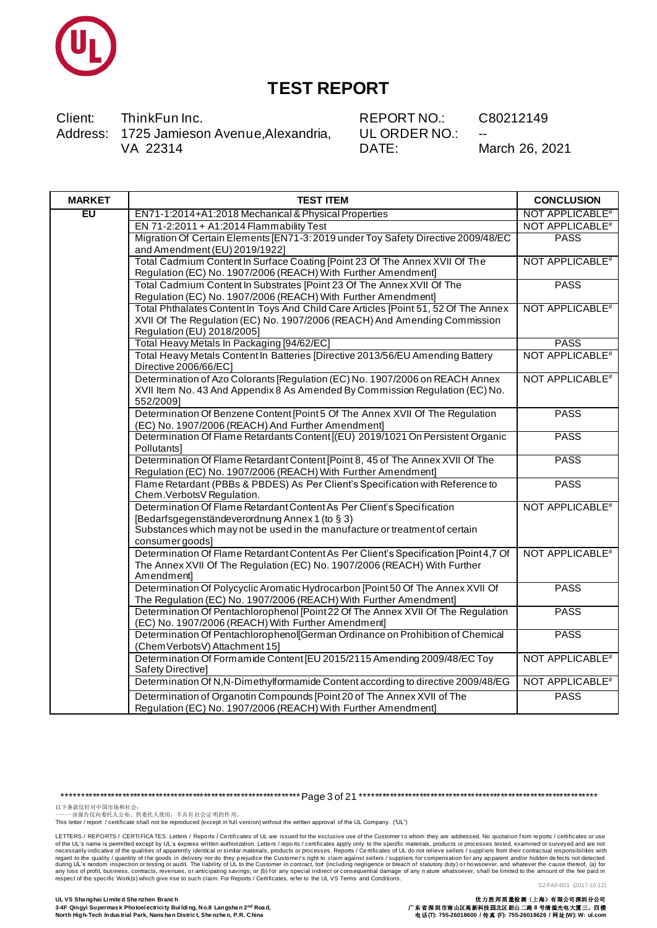

Client: ThinkFun Inc. Address: 1725 Jamieson Avenue, Alexandria, VA 22314

REPORT NO.: UL ORDER NO.: DATE:

C80212149

March 26, 2021

| <b>MARKET</b> | <b>TEST ITEM</b>                                                                     | <b>CONCLUSION</b>           |
|---------------|--------------------------------------------------------------------------------------|-----------------------------|
| EU            | EN71-1:2014+A1:2018 Mechanical & Physical Properties                                 | <b>NOT APPLICABLE#</b>      |
|               | EN 71-2:2011 + A1:2014 Flammability Test                                             | NOT APPLICABLE <sup>#</sup> |
|               | Migration Of Certain Elements [EN71-3: 2019 under Toy Safety Directive 2009/48/EC    | <b>PASS</b>                 |
|               | and Amendment (EU) 2019/1922]                                                        |                             |
|               | Total Cadmium Content In Surface Coating [Point 23 Of The Annex XVII Of The          | NOT APPLICABLE <sup>#</sup> |
|               | Regulation (EC) No. 1907/2006 (REACH) With Further Amendment]                        |                             |
|               | Total Cadmium Content In Substrates [Point 23 Of The Annex XVII Of The               | <b>PASS</b>                 |
|               | Regulation (EC) No. 1907/2006 (REACH) With Further Amendment]                        |                             |
|               | Total Phthalates Content In Toys And Child Care Articles [Point 51, 52 Of The Annex  | NOT APPLICABLE <sup>#</sup> |
|               | XVII Of The Regulation (EC) No. 1907/2006 (REACH) And Amending Commission            |                             |
|               | Regulation (EU) 2018/2005]                                                           |                             |
|               | Total Heavy Metals In Packaging [94/62/EC]                                           | <b>PASS</b>                 |
|               | Total Heavy Metals Content In Batteries [Directive 2013/56/EU Amending Battery       | NOT APPLICABLE <sup>#</sup> |
|               | Directive 2006/66/EC]                                                                |                             |
|               | Determination of Azo Colorants [Regulation (EC) No. 1907/2006 on REACH Annex         | NOT APPLICABLE <sup>#</sup> |
|               | XVII Item No. 43 And Appendix 8 As Amended By Commission Regulation (EC) No.         |                             |
|               | 552/2009]                                                                            |                             |
|               | Determination Of Benzene Content [Point 5 Of The Annex XVII Of The Regulation        | <b>PASS</b>                 |
|               | (EC) No. 1907/2006 (REACH) And Further Amendment]                                    |                             |
|               | Determination Of Flame Retardants Content [(EU) 2019/1021 On Persistent Organic      | <b>PASS</b>                 |
|               | Pollutants]                                                                          |                             |
|               | Determination Of Flame Retardant Content [Point 8, 45 of The Annex XVII Of The       | <b>PASS</b>                 |
|               | Regulation (EC) No. 1907/2006 (REACH) With Further Amendment]                        |                             |
|               | Flame Retardant (PBBs & PBDES) As Per Client's Specification with Reference to       | <b>PASS</b>                 |
|               | Chem.VerbotsV Regulation.                                                            |                             |
|               | Determination Of Flame Retardant Content As Per Client's Specification               | NOT APPLICABLE <sup>#</sup> |
|               | [Bedarfsgegenständeverordnung Annex 1 (to § 3)                                       |                             |
|               | Substances which may not be used in the manufacture or treatment of certain          |                             |
|               | consumer goods]                                                                      |                             |
|               | Determination Of Flame Retardant Content As Per Client's Specification [Point 4,7 Of | NOT APPLICABLE <sup>#</sup> |
|               | The Annex XVII Of The Regulation (EC) No. 1907/2006 (REACH) With Further             |                             |
|               | Amendment]                                                                           |                             |
|               | Determination Of Polycyclic Aromatic Hydrocarbon [Point 50 Of The Annex XVII Of      | <b>PASS</b>                 |
|               | The Regulation (EC) No. 1907/2006 (REACH) With Further Amendment]                    |                             |
|               | Determination Of Pentachlorophenol [Point 22 Of The Annex XVII Of The Regulation     | <b>PASS</b>                 |
|               | (EC) No. 1907/2006 (REACH) With Further Amendment]                                   |                             |
|               | Determination Of Pentachlorophenol German Ordinance on Prohibition of Chemical       | <b>PASS</b>                 |
|               | (Chem VerbotsV) Attachment 15]                                                       |                             |
|               | Determination Of Formamide Content [EU 2015/2115 Amending 2009/48/EC Toy             | NOT APPLICABLE <sup>#</sup> |
|               | Safety Directive]                                                                    |                             |
|               | Determination Of N,N-Dimethylformamide Content according to directive 2009/48/EG     | NOT APPLICABLE <sup>#</sup> |
|               | Determination of Organotin Compounds [Point 20 of The Annex XVII of The              | <b>PASS</b>                 |
|               | Requisition (FC) No. 1907/2006 (REACH) With Further Amendment                        |                             |

以下条款仅针对中国市场和社会:<br>------该报告仅向委托人公布、供委托人使用,不具有社会证明的作用。<br>This letter / report / certificate shall not be reproduced (except in full version) without the written approval of the UL Company. ("UL")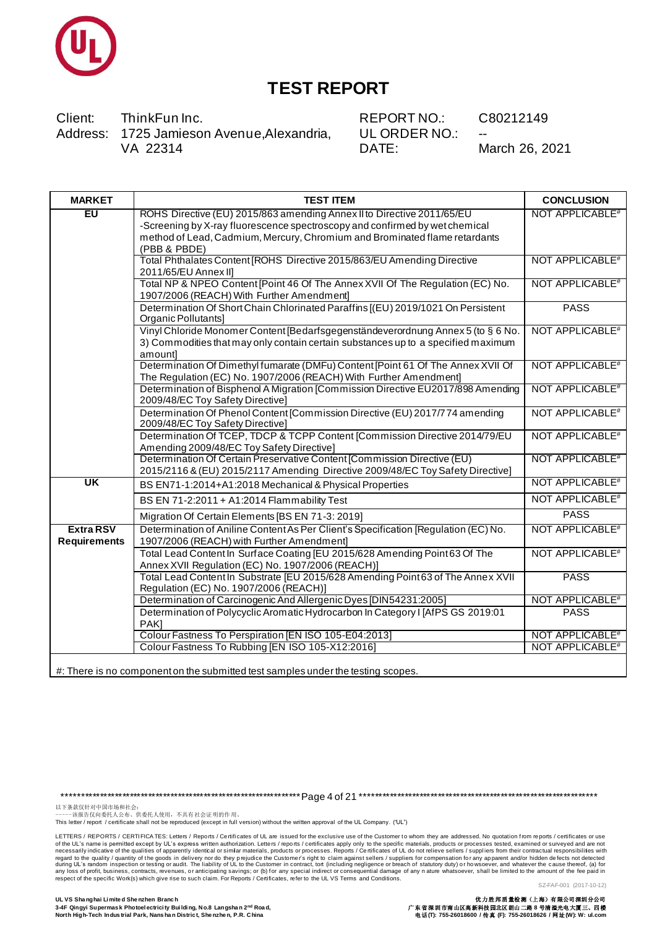

Client: ThinkFun Inc. Address: 1725 Jamieson Avenue, Alexandria, VA 22314

REPORT NO.: UL ORDER NO.: DATE:

C80212149

March 26, 2021

| <b>MARKET</b>                           | <b>TEST ITEM</b>                                                                                                                                                                 | <b>CONCLUSION</b>           |
|-----------------------------------------|----------------------------------------------------------------------------------------------------------------------------------------------------------------------------------|-----------------------------|
| EU                                      | ROHS Directive (EU) 2015/863 amending Annex II to Directive 2011/65/EU<br>-Screening by X-ray fluorescence spectroscopy and confirmed by wet chemical                            | NOT APPLICABLE <sup>#</sup> |
|                                         | method of Lead, Cadmium, Mercury, Chromium and Brominated flame retardants                                                                                                       |                             |
|                                         | (PBB & PBDE)                                                                                                                                                                     |                             |
|                                         | Total Phthalates Content [ROHS Directive 2015/863/EU Amending Directive<br>2011/65/EU Annex II]                                                                                  | NOT APPLICABLE <sup>#</sup> |
|                                         | Total NP & NPEO Content [Point 46 Of The Annex XVII Of The Regulation (EC) No.<br>1907/2006 (REACH) With Further Amendment]                                                      | NOT APPLICABLE <sup>#</sup> |
|                                         | Determination Of Short Chain Chlorinated Paraffins [(EU) 2019/1021 On Persistent<br>Organic Pollutants]                                                                          | <b>PASS</b>                 |
|                                         | Vinyl Chloride Monomer Content [Bedarfsgegenständeverordnung Annex 5 (to § 6 No.<br>3) Commodities that may only contain certain substances up to a specified maximum<br>amount] | NOT APPLICABLE <sup>#</sup> |
|                                         | Determination Of Dimethyl fumarate (DMFu) Content [Point 61 Of The Annex XVII Of<br>The Regulation (EC) No. 1907/2006 (REACH) With Further Amendment]                            | NOT APPLICABLE <sup>#</sup> |
|                                         | Determination of Bisphenol A Migration [Commission Directive EU2017/898 Amending<br>2009/48/EC Toy Safety Directive]                                                             | NOT APPLICABLE <sup>#</sup> |
|                                         | Determination Of Phenol Content [Commission Directive (EU) 2017/774 amending<br>2009/48/EC Toy Safety Directive]                                                                 | NOT APPLICABLE <sup>#</sup> |
|                                         | Determination Of TCEP, TDCP & TCPP Content [Commission Directive 2014/79/EU<br>Amending 2009/48/EC Toy Safety Directive]                                                         | NOT APPLICABLE <sup>#</sup> |
|                                         | Determination Of Certain Preservative Content [Commission Directive (EU)<br>2015/2116 & (EU) 2015/2117 Amending Directive 2009/48/EC Toy Safety Directive]                       | NOT APPLICABLE <sup>#</sup> |
| UK                                      | BS EN71-1:2014+A1:2018 Mechanical & Physical Properties                                                                                                                          | NOT APPLICABLE <sup>#</sup> |
|                                         | BS EN 71-2:2011 + A1:2014 Flammability Test                                                                                                                                      | NOT APPLICABLE <sup>#</sup> |
|                                         | Migration Of Certain Elements [BS EN 71-3: 2019]                                                                                                                                 | <b>PASS</b>                 |
| <b>Extra RSV</b><br><b>Requirements</b> | Determination of Aniline Content As Per Client's Specification [Regulation (EC) No.<br>1907/2006 (REACH) with Further Amendment]                                                 | NOT APPLICABLE <sup>#</sup> |
|                                         | Total Lead Content In Surface Coating [EU 2015/628 Amending Point 63 Of The<br>Annex XVII Regulation (EC) No. 1907/2006 (REACH)]                                                 | NOT APPLICABLE <sup>#</sup> |
|                                         | Total Lead Content In Substrate [EU 2015/628 Amending Point 63 of The Annex XVII<br>Regulation (EC) No. 1907/2006 (REACH)]                                                       | <b>PASS</b>                 |
|                                         | Determination of Carcinogenic And Allergenic Dyes [DIN54231:2005]                                                                                                                | NOT APPLICABLE <sup>#</sup> |
|                                         | Determination of Polycyclic Aromatic Hydrocarbon In Category I [AfPS GS 2019:01<br>PAK]                                                                                          | <b>PASS</b>                 |
|                                         | Colour Fastness To Perspiration [EN ISO 105-E04:2013]                                                                                                                            | NOT APPLICABLE <sup>#</sup> |
|                                         | Colour Fastness To Rubbing [EN ISO 105-X12:2016]                                                                                                                                 | <b>NOT APPLICABLE#</b>      |
|                                         |                                                                                                                                                                                  |                             |

#: There is no component on the submitted test samples under the testing scopes.

以下条款仅针对中国市场和社会:<br>------该报告仅向委托人公布、供委托人使用,不具有社会证明的作用。<br>This letter / report / certificate shall not be reproduced (except in full version) without the written approval of the UL Company. ("UL")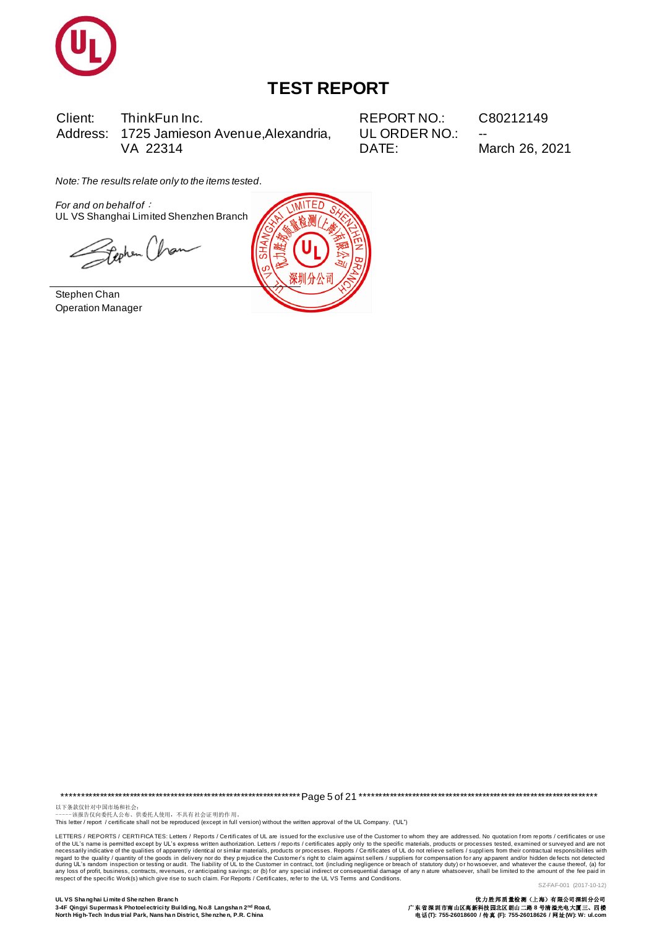

Client: ThinkFun Inc. Address: 1725 Jamieson Avenue, Alexandria, VA 22314

**REPORT NO.:** UL ORDER NO.: DATE:

C80212149

March 26, 2021

Note: The results relate only to the items tested.

For and on behalf of : UL VS Shanghai Limited Shenzhen Branch

Stephen Chan

Stephen Chan **Operation Manager** 



以下条款仅针对中国市场和社会。<br>------该报告仅向委托人公布、供委托人使用,不具有社会证明的作用。<br>This letter / report / certificate shall not be reproduced (except in full version) without the written approval of the UL Company. ("UL")

LETTERS / REPORTS / CERTIFICA TES: Letters / Reports / Certificates of UL are issued for the exclusive use of the Customer to whom they are addressed. No quotation from reports / certificates or use Letters / REPORTS / Centifications and the same in participation access the state of the specific Work (S) which particles are the excellent of the state of the state of the state of the particle except by UL's express wit SZ-FAF-001 (2017-10-12)

UL VS Shanghai Limited Shenzhen Branch 3-4F Qingyi Supermask Photoelectricity Building, No.8 Langshan 2nd Road, North High-Tech Industrial Park, Nans han District, Shenzhen, P.R. China

优力胜邦质量检测(上海)有限公司深圳分公司<br>广东省深圳市南山区高新科技园北区朗山二路 8 号清溢光电大厦三、四楼<br>电话 (T): 755-26018600 / 传真 (F): 755-26018626 / 网址(W): W: ul.com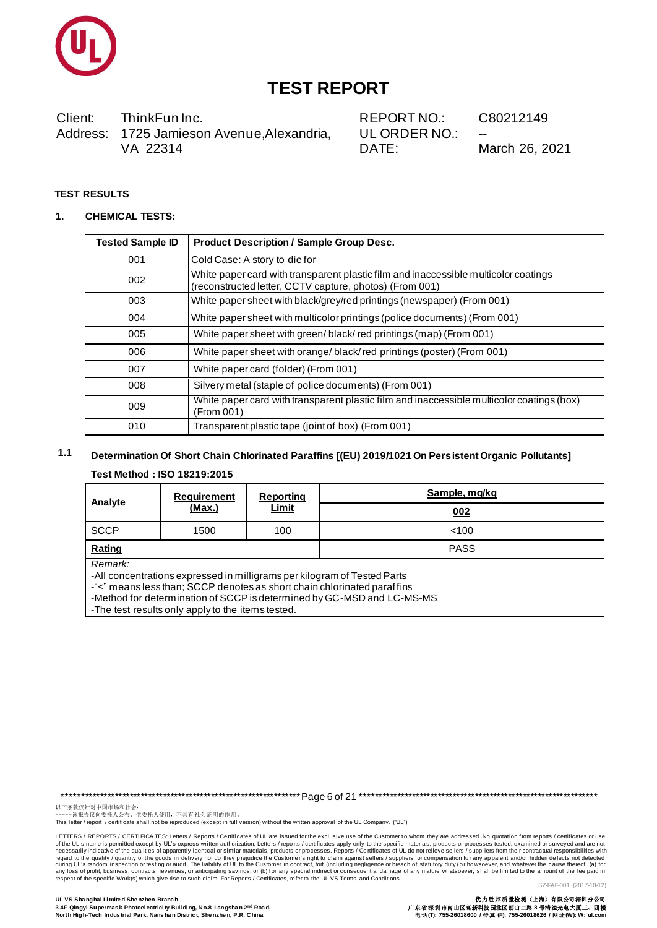

ThinkFun Inc. Client: Address: 1725 Jamieson Avenue, Alexandria, VA 22314

**REPORT NO.:** UL ORDER NO.: DATE:

Sample, mg/kg

C80212149

March 26, 2021

#### **TEST RESULTS**

#### $\mathbf{1}$ **CHEMICAL TESTS:**

| <b>Tested Sample ID</b> | <b>Product Description / Sample Group Desc.</b>                                                                                                |
|-------------------------|------------------------------------------------------------------------------------------------------------------------------------------------|
| 001                     | Cold Case: A story to die for                                                                                                                  |
| 002                     | White paper card with transparent plastic film and inaccessible multicolor coatings<br>(reconstructed letter, CCTV capture, photos) (From 001) |
| 003                     | White paper sheet with black/grey/red printings (newspaper) (From 001)                                                                         |
| 004                     | White paper sheet with multicolor printings (police documents) (From 001)                                                                      |
| 005                     | White paper sheet with green/black/red printings (map) (From 001)                                                                              |
| 006                     | White paper sheet with orange/black/red printings (poster) (From 001)                                                                          |
| 007                     | White paper card (folder) (From 001)                                                                                                           |
| 008                     | Silvery metal (staple of police documents) (From 001)                                                                                          |
| 009                     | White paper card with transparent plastic film and inaccessible multicolor coatings (box)<br>(From 001)                                        |
| 010                     | Transparent plastic tape (joint of box) (From 001)                                                                                             |

#### $1.1$ Determination Of Short Chain Chlorinated Paraffins [(EU) 2019/1021 On Persistent Organic Pollutants] Test Method: ISO 18219:2015

#### **Reporting Requirement Analyte** Limit <u>(Max.)</u>

 $002$ **SCCP** 1500 100  $< 100$ Rating **PASS** Remark: -All concentrations expressed in milligrams per kilogram of Tested Parts -"<" means less than; SCCP denotes as short chain chlorinated paraffins -Method for determination of SCCP is determined by GC-MSD and LC-MS-MS -The test results only apply to the items tested.

以下条款仅针对中国市场和社会:<br>-----该报告仅向委托人公布、供委托人使用, 不具有社会证明的作用。

This letter / report / certificate shall not be reproduced (except in full version) without the written approval of the UL Company. ("UL")

LETTERS / REPORTS / CERTIFICA TES: Letters / Reports / Certificates of UL are issued for the exclusive use of the Customer to whom they are addressed. No quotation from reports / certificates or use of the UL's name is permitted except by UL's express written authorization. Letters / reports / certificates apply only to the specific materials, products or processes tested, examined or surveyed and are not recossally i meanta to the quality / quantity of the goods in delivery nor do they prejudice the Customer's right to claim against sellers / suppliers for compensation for any apparent and/or hidden defects not detected<br>dialy and the p SZ-FAF-001 (2017-10-12)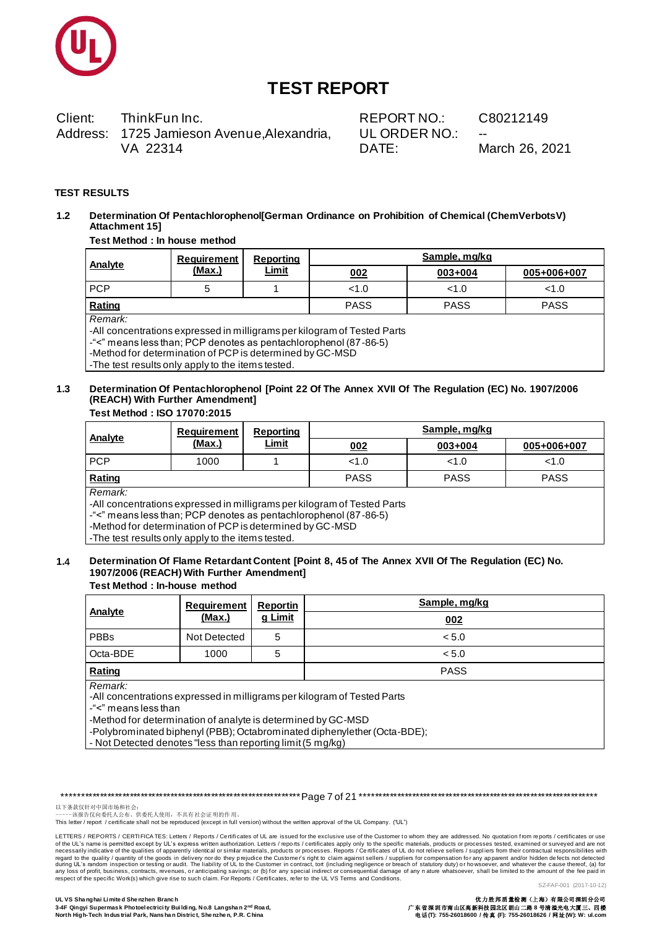

ThinkFun Inc. Client: Address: 1725 Jamieson Avenue, Alexandria, VA 22314

REPORT NO.: UL ORDER NO.: DATE:

C80212149

March 26, 2021

#### **TEST RESULTS**

Determination Of Pentachlorophenol[German Ordinance on Prohibition of Chemical (ChemVerbotsV)  $1.2$ **Attachment 151** 

#### Test Method : In house method

| Analyte    | Requirement | Reporting<br>Limit | Sample, mg/kg |             |             |
|------------|-------------|--------------------|---------------|-------------|-------------|
|            | (Max.)      |                    | 002           | 003+004     | 005+006+007 |
| <b>PCP</b> |             |                    | < 1.0         | <1.0        | < 1.0       |
| Rating     |             |                    | <b>PASS</b>   | <b>PASS</b> | <b>PASS</b> |

Remark<sup>.</sup>

-All concentrations expressed in milligrams per kilogram of Tested Parts

-"<" means less than; PCP denotes as pentachlorophenol (87-86-5)

-Method for determination of PCP is determined by GC-MSD

-The test results only apply to the items tested.

#### $1.3$ Determination Of Pentachlorophenol [Point 22 Of The Annex XVII Of The Regulation (EC) No. 1907/2006 (REACH) With Further Amendment] Test Method: ISO 17070:2015

| Analyte                                                                                                                                                                                                                                                                                                                                                                | Requirement<br>(Max.) | Reporting<br>Limit | Sample, mg/kg |             |             |  |
|------------------------------------------------------------------------------------------------------------------------------------------------------------------------------------------------------------------------------------------------------------------------------------------------------------------------------------------------------------------------|-----------------------|--------------------|---------------|-------------|-------------|--|
|                                                                                                                                                                                                                                                                                                                                                                        |                       |                    | 002           | 003+004     | 005+006+007 |  |
| <b>PCP</b>                                                                                                                                                                                                                                                                                                                                                             | 1000                  |                    | < 1.0         | < 1.0       | < 1.0       |  |
| Rating                                                                                                                                                                                                                                                                                                                                                                 |                       |                    | <b>PASS</b>   | <b>PASS</b> | <b>PASS</b> |  |
| Remark:                                                                                                                                                                                                                                                                                                                                                                |                       |                    |               |             |             |  |
| -All concentrations expressed in milligrams per kilogram of Tested Parts                                                                                                                                                                                                                                                                                               |                       |                    |               |             |             |  |
| -"<" means less than; PCP denotes as pentachlorophenol (87-86-5)<br>$\mathbf{M}$ at $\mathbf{M}$ at $\mathbf{M}$ and $\mathbf{M}$ and $\mathbf{M}$ and $\mathbf{M}$ and $\mathbf{M}$ and $\mathbf{M}$ and $\mathbf{M}$ and $\mathbf{M}$ and $\mathbf{M}$ and $\mathbf{M}$ and $\mathbf{M}$ and $\mathbf{M}$ and $\mathbf{M}$ and $\mathbf{M}$ and $\mathbf{M}$ and $\$ |                       |                    |               |             |             |  |

-Method for determination of PCP is determined by GC-MSD

-The test results only apply to the items tested.

#### Determination Of Flame Retardant Content [Point 8, 45 of The Annex XVII Of The Regulation (EC) No.  $1.4$ 1907/2006 (REACH) With Further Amendment]

#### **Test Method : In-house method**

| Analyte                                                                                                                                                                                                                                                 | <b>Requirement</b> | <b>Reportin</b> | Sample, mg/kg |  |  |
|---------------------------------------------------------------------------------------------------------------------------------------------------------------------------------------------------------------------------------------------------------|--------------------|-----------------|---------------|--|--|
|                                                                                                                                                                                                                                                         | (Max.)             | g Limit         | 002           |  |  |
| <b>PBBs</b>                                                                                                                                                                                                                                             | Not Detected       | 5               | < 5.0         |  |  |
| Octa-BDE                                                                                                                                                                                                                                                | 1000               | 5               | < 5.0         |  |  |
| Rating                                                                                                                                                                                                                                                  |                    |                 | <b>PASS</b>   |  |  |
| Remark:<br>-All concentrations expressed in milligrams per kilogram of Tested Parts<br>-"<" means less than<br>-Method for determination of analyte is determined by GC-MSD<br>-Polybrominated biphenyl (PBB); Octabrominated diphenylether (Octa-BDE); |                    |                 |               |  |  |

|- Not Detected denotes "less than reporting limit (5 mg/kg)

以下条款仅针对中国市场和社会:<br>-----该报告仅向委托人公布、供委托人使用, 不具有社会证明的作用。

This letter / report / certificate shall not be reproduced (except in full version) without the written approval of the UL Company. ("UL")

LETTERS / REPORTS / CERTIFICA TES: Letters / Reports / Certificates of UL are issued for the exclusive use of the Customer to whom they are addressed. No quotation from reports / certificates or use of the UL's name is permitted except by UL's express written authorization. Letters / reports / certificates apply only to the specific materials, products or processes tested, examined or surveyed and are not necessarily regard to the quality / quantity of the goods in delivery nor do they prejudice the Customer's right to claim against sellers / suppliers for compensation for any apparent and/or hidden defects not detected during UL's ran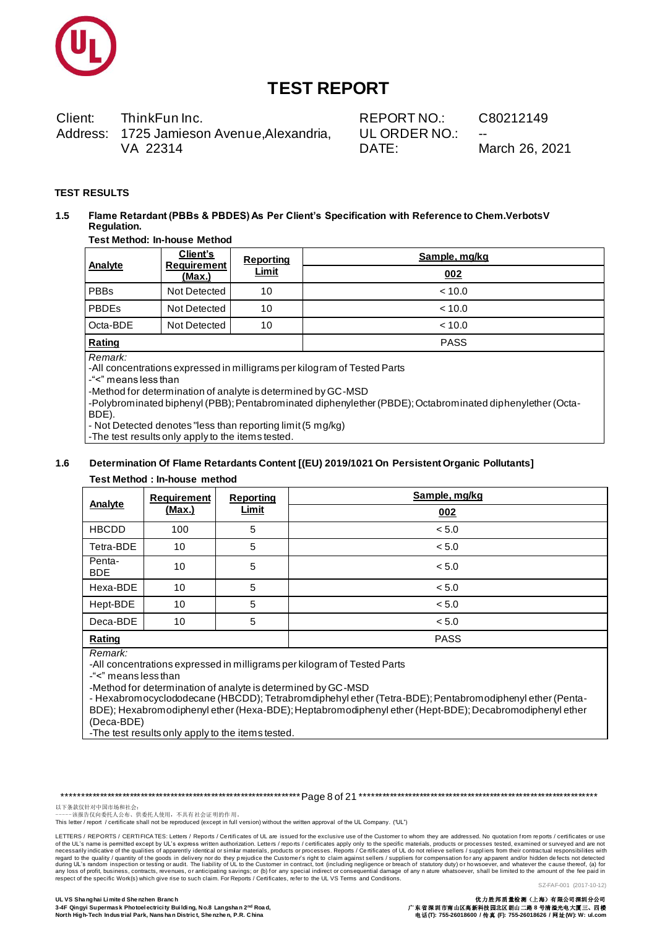

Client: ThinkFun Inc. Address: 1725 Jamieson Avenue, Alexandria, VA 22314

REPORT NO.: UL ORDER NO.: DATE:

C80212149

March 26, 2021

#### **TEST RESULTS**

Flame Retardant (PBBs & PBDES) As Per Client's Specification with Reference to Chem.VerbotsV  $1.5$ Regulation.

### **Test Method: In-house Method**

|             | Client's                     | Reporting    | Sample, mg/kg |  |
|-------------|------------------------------|--------------|---------------|--|
| Analyte     | <b>Requirement</b><br>(Max.) | <b>Limit</b> | 002           |  |
| <b>PBBs</b> | Not Detected                 | 10           | < 10.0        |  |
| PBDEs       | Not Detected                 | 10           | < 10.0        |  |
| Octa-BDE    | Not Detected                 | 10           | < 10.0        |  |
| Rating      |                              |              | <b>PASS</b>   |  |

Remark:

-All concentrations expressed in milligrams per kilogram of Tested Parts

-"<" means less than

-Method for determination of analyte is determined by GC-MSD

-Polybrominated biphenyl (PBB); Pentabrominated diphenylether (PBDE); Octabrominated diphenylether (Octa-BDE)

- Not Detected denotes "less than reporting limit (5 mg/kg)

-The test results only apply to the items tested.

#### Determination Of Flame Retardants Content [(EU) 2019/1021 On Persistent Organic Pollutants]  $1.6$

#### Test Method : In-house method

| Analyte              | Requirement | <b>Reporting</b> | Sample, mg/kg |
|----------------------|-------------|------------------|---------------|
|                      | (Max.)      | Limit            | 002           |
| <b>HBCDD</b>         | 100         | 5                | < 5.0         |
| Tetra-BDE            | 10          | 5                | < 5.0         |
| Penta-<br><b>BDE</b> | 10          | 5                | < 5.0         |
| Hexa-BDE             | 10          | 5                | < 5.0         |
| Hept-BDE             | 10          | 5                | < 5.0         |
| Deca-BDE             | 10          | 5                | < 5.0         |
| Rating               |             |                  | <b>PASS</b>   |
| Domark <sup>.</sup>  |             |                  |               |

kemark:

-All concentrations expressed in milligrams per kilogram of Tested Parts

-"<" means less than

-Method for determination of analyte is determined by GC-MSD

- Hexabromocyclododecane (HBCDD); Tetrabromdiphehyl ether (Tetra-BDE); Pentabromodiphenyl ether (Penta-BDE); Hexabromodiphenyl ether (Hexa-BDE); Heptabromodiphenyl ether (Hept-BDE); Decabromodiphenyl ether (Deca-BDE)

-The test results only apply to the items tested.

以下条款仅针对中国市场和社会:<br>-----该报告仅向委托人公布、供委托人使用, 不具有社会证明的作用。

This letter / report / certificate shall not be reproduced (except in full version) without the written approval of the UL Company. ("UL")

LETTERS / REPORTS / CERTIFICA TES: Letters / Reports / Certificates of UL are issued for the exclusive use of the Customer to whom they are addressed. No quotation from reports / certificates or use of the UL's name is permitted except by UL's express written authorization. Letters / reports / certificates apply only to the specific materials, products or processes tested, examined or surveyed and are not necessarily regard to the quality / quantity of the goods in delivery nor do they prejudice the Customer's right to claim against sellers / suppliers for compensation for any apparent and/or hidden defects not detected during UL's ran SZ-FAF-001 (2017-10-12)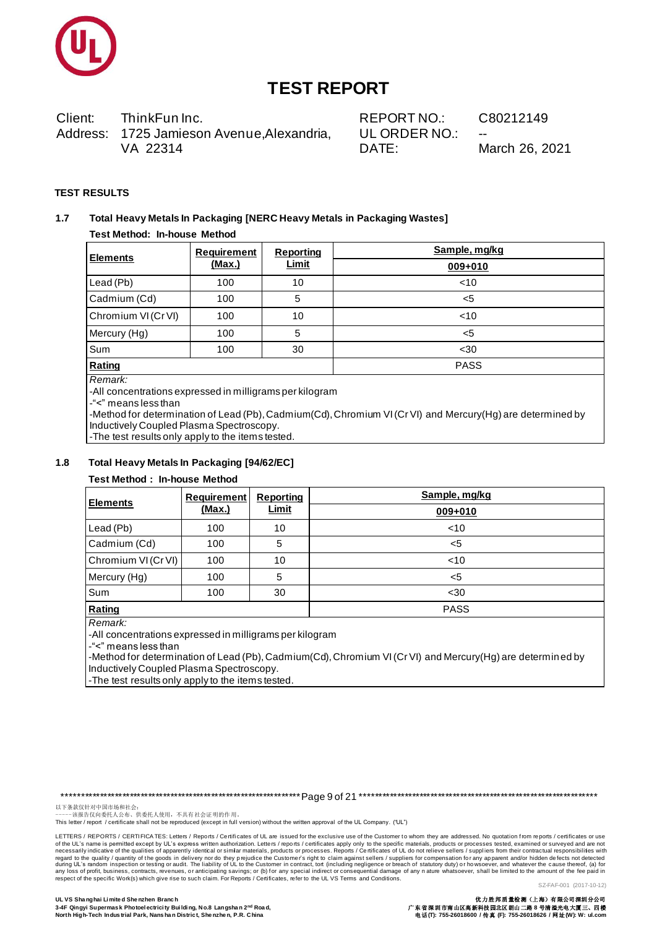

Client: ThinkFun Inc. Address: 1725 Jamieson Avenue, Alexandria, VA 22314

REPORT NO.: UL ORDER NO.: DATE:

C80212149

March 26, 2021

#### **TEST RESULTS**

#### $1.7$ Total Heavy Metals In Packaging [NERC Heavy Metals in Packaging Wastes]

### **Test Method: In-house Method**

| <b>Elements</b>     | <b>Requirement</b> | <b>Reporting</b> | Sample, mg/kg |
|---------------------|--------------------|------------------|---------------|
|                     | (Max.)             | <b>Limit</b>     | $009 + 010$   |
| Lead (Pb)           | 100                | 10               | $<$ 10        |
| Cadmium (Cd)        | 100                | 5                | <5            |
| Chromium VI (Cr VI) | 100                | 10               | $<$ 10        |
| Mercury (Hg)        | 100                | 5                | <5            |
| Sum                 | 100                | 30               | $30$          |
| Rating              |                    |                  | <b>PASS</b>   |

Remark:

-All concentrations expressed in milligrams per kilogram

-"<" means less than

-Method for determination of Lead (Pb), Cadmium(Cd), Chromium VI (Cr VI) and Mercury(Hg) are determined by Inductively Coupled Plasma Spectroscopy.

-The test results only apply to the items tested.

#### $1.8$ Total Heavy Metals In Packaging [94/62/EC]

#### **Test Method : In-house Method**

| <b>Elements</b>     | <b>Requirement</b> | <b>Reporting</b><br><u>Limit</u> | Sample, mg/kg |  |
|---------------------|--------------------|----------------------------------|---------------|--|
|                     | (Max.)             |                                  | 009+010       |  |
| Lead (Pb)           | 100                | 10                               | $<$ 10        |  |
| Cadmium (Cd)        | 100                | 5                                | $<$ 5         |  |
| Chromium VI (Cr VI) | 100                | 10                               | $<$ 10        |  |
| Mercury (Hg)        | 100                | 5                                | $<$ 5         |  |
| Sum                 | 100                | 30                               | $30$          |  |
| Rating              |                    |                                  | <b>PASS</b>   |  |

Remark:

-All concentrations expressed in milligrams per kilogram

-"<" means less than

-Method for determination of Lead (Pb), Cadmium(Cd), Chromium VI (Cr VI) and Mercury(Hg) are determin ed by Inductively Coupled Plasma Spectroscopy.

-The test results only apply to the items tested.

以下条款仅针对中国市场和社会:<br>-----该报告仅向委托人公布、供委托人使用, 不具有社会证明的作用。

This letter / report / certificate shall not be reproduced (except in full version) without the written approval of the UL Company. ("UL")

LETTERS / REPORTS / CERTIFICA TES: Letters / Reports / Certificates of UL are issued for the exclusive use of the Customer to whom they are addressed. No quotation from reports / certificates or use of the UL's name is permitted except by UL's express written authorization. Letters / reports / certificates apply only to the specific materials, products or processes tested, examined or surveyed and are not necessarily regard to the quality / quantity of the goods in delivery nor do they prejudice the Customer's right to claim against sellers / suppliers for compensation for any apparent and/or hidden defects not detected during UL's ran SZ-FAF-001 (2017-10-12)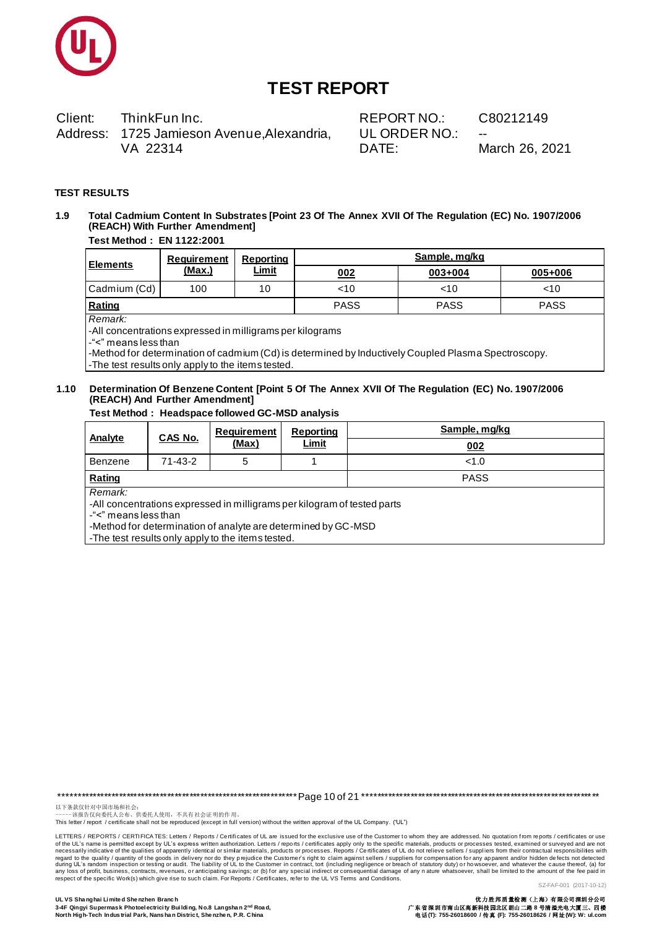

Client: ThinkFun Inc. Address: 1725 Jamieson Avenue, Alexandria, VA 22314

REPORT NO.: UL ORDER NO.: DATE:

C80212149

March 26, 2021

#### **TEST RESULTS**

#### Total Cadmium Content In Substrates [Point 23 Of The Annex XVII Of The Regulation (EC) No. 1907/2006 1.9 (REACH) With Further Amendment]

#### **Test Method: EN 1122:2001**

| l Elements   | Requirement   | Reporting<br><u>Limit</u> | Sample, mg/kg |             |             |  |
|--------------|---------------|---------------------------|---------------|-------------|-------------|--|
|              | <u>(Max.)</u> |                           | 002           | 003+004     | 005+006     |  |
| Cadmium (Cd) | 100           | 10                        | 10<           | $<$ 10      | ~10         |  |
| Rating       |               |                           | <b>PASS</b>   | <b>PASS</b> | <b>PASS</b> |  |
| Remark:      |               |                           |               |             |             |  |

-All concentrations expressed in milligrams per kilograms

-"<" means less than

-Method for determination of cadmium (Cd) is determined by Inductively Coupled Plasma Spectroscopy. -The test results only apply to the items tested.

### 1.10 Determination Of Benzene Content [Point 5 Of The Annex XVII Of The Regulation (EC) No. 1907/2006 (REACH) And Further Amendment]

Test Method: Headspace followed GC-MSD analysis

| Analyte                                                                                                                                                                                                                           |                           | Requirement | Reporting | Sample, mg/kg |  |  |  |
|-----------------------------------------------------------------------------------------------------------------------------------------------------------------------------------------------------------------------------------|---------------------------|-------------|-----------|---------------|--|--|--|
|                                                                                                                                                                                                                                   | CAS No.<br>Limit<br>(Max) |             |           | 002           |  |  |  |
| Benzene                                                                                                                                                                                                                           | $71 - 43 - 2$             | 5           |           | < 1.0         |  |  |  |
| <b>PASS</b><br>Rating                                                                                                                                                                                                             |                           |             |           |               |  |  |  |
| Remark:<br>-All concentrations expressed in milligrams per kilogram of tested parts<br>-"<" means less than<br>-Method for determination of analyte are determined by GC-MSD<br>-The test results only apply to the items tested. |                           |             |           |               |  |  |  |

以下条款仅针对中国市场和社会:<br>-----该报告仅向委托人公布、供委托人使用, 不具有社会证明的作用。

This letter / report / certificate shall not be reproduced (except in full version) without the written approval of the UL Company. ("UL")

LETTERS / REPORTS / CERTIFICA TES: Letters / Reports / Certificates of UL are issued for the exclusive use of the Customer to whom they are addressed. No quotation from reports / certificates or use of the UL's name is permitted except by UL's express written authorization. Letters / reports / certificates apply only to the specific materials, products or processes tested, examined or surveyed and are not recossally i regard to the quality / quantity of the goods in delivery nor do they prejudice the Customer's right to claim against sellers / suppliers for compensation for any apparent and/or hidden defects not detected during UL's ran SZ-FAF-001 (2017-10-12)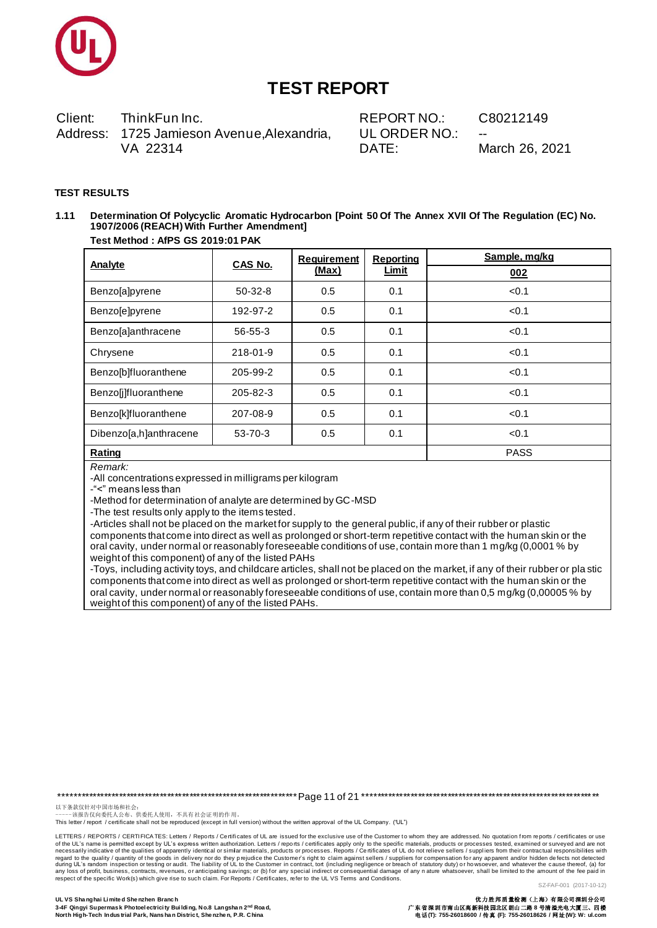

ThinkFun Inc. Client: Address: 1725 Jamieson Avenue, Alexandria, VA 22314

REPORT NO.: UL ORDER NO.: DATE:

C80212149

March 26, 2021

#### **TEST RESULTS**

Determination Of Polycyclic Aromatic Hydrocarbon [Point 50 Of The Annex XVII Of The Regulation (EC) No.  $1.11$ 1907/2006 (REACH) With Further Amendment] Test Method: AfPS GS 2019:01 PAK

| <b>Analyte</b>         | <b>CAS No.</b> | <b>Requirement</b> | <b>Reporting</b> | Sample, mg/kg |
|------------------------|----------------|--------------------|------------------|---------------|
|                        |                | (Max)              | Limit            | 002           |
| Benzo[a]pyrene         | $50-32-8$      | 0.5                | 0.1              | < 0.1         |
| Benzo[e]pyrene         | 192-97-2       | 0.5                | 0.1              | < 0.1         |
| Benzo[a]anthracene     | 56-55-3        | 0.5                | 0.1              | < 0.1         |
| Chrysene               | 218-01-9       | 0.5                | 0.1              | < 0.1         |
| Benzo[b]fluoranthene   | 205-99-2       | 0.5                | 0.1              | < 0.1         |
| Benzo[j]fluoranthene   | 205-82-3       | 0.5                | 0.1              | < 0.1         |
| Benzo[k]fluoranthene   | 207-08-9       | 0.5                | 0.1              | < 0.1         |
| Dibenzo[a,h]anthracene | 53-70-3        | 0.5                | 0.1              | < 0.1         |
| Rating                 |                |                    |                  | <b>PASS</b>   |

Remark:

-All concentrations expressed in milligrams per kilogram

-"<" means less than

-Method for determination of analyte are determined by GC-MSD

-The test results only apply to the items tested.

-Articles shall not be placed on the market for supply to the general public, if any of their rubber or plastic components that come into direct as well as prolonged or short-term repetitive contact with the human skin or the oral cavity, under normal or reasonably foreseeable conditions of use, contain more than 1 mg/kg (0,0001 % by weight of this component) of any of the listed PAHs

-Toys, including activity toys, and childcare articles, shall not be placed on the market, if any of their rubber or plastic components that come into direct as well as prolonged or short-term repetitive contact with the human skin or the oral cavity, under normal or reasonably foreseeable conditions of use, contain more than 0,5 mg/kg (0,00005 % by weight of this component) of any of the listed PAHs.

以下条款仅针对中国市场和社会:<br>-----该报告仅向委托人公布、供委托人使用, 不具有社会证明的作用。

This letter / report / certificate shall not be reproduced (except in full version) without the written approval of the UL Company. ("UL")

LETTERS / REPORTS / CERTIFICA TES: Letters / Reports / Certificates of UL are issued for the exclusive use of the Customer to whom they are addressed. No quotation from reports / certificates or use of the UL's name is permitted except by UL's express written authorization. Letters / reports / certificates apply only to the specific materials, products or processes tested, examined or surveyed and are not necessarily regard to the quality / quantity of the goods in delivery nor do they prejudice the Customer's right to claim against sellers / suppliers for compensation for any apparent and/or hidden defects not detected during UL's ran SZ-FAF-001 (2017-10-12)

电话(T): 755-26018600 / 传真 (F): 755-26018626 / 网址(W): W: ul.com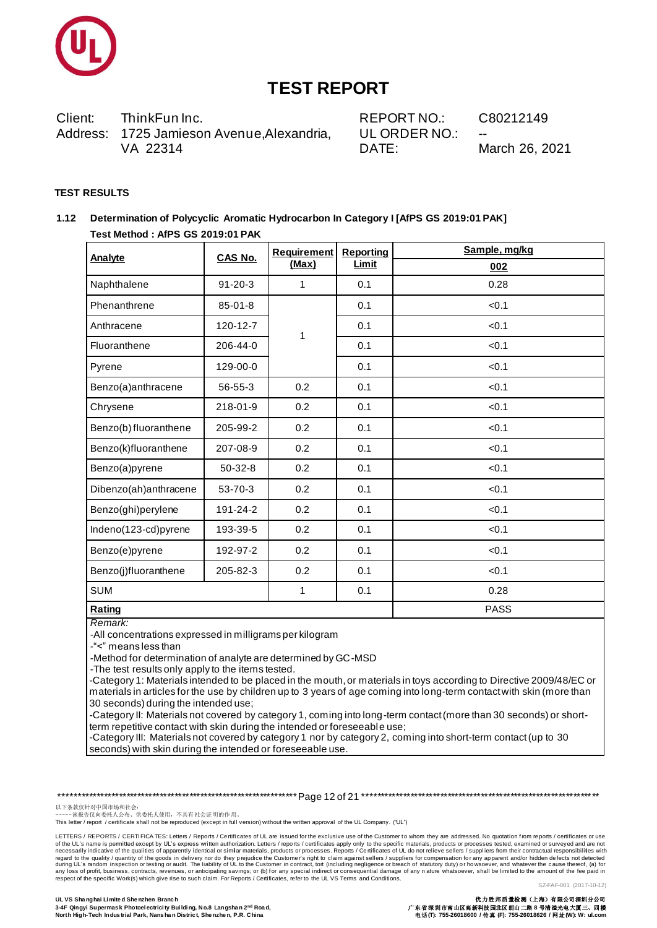

Client: ThinkFun Inc. REPORT NO.: C80212149 Address: 1725 Jamieson Avenue, Alexandria, UL ORDER NO.: VA 22314 DATE: March 26, 2021

#### **TEST RESULTS**

### 1.12 Determination of Polycyclic Aromatic Hydrocarbon In Category I [AfPS GS 2019:01 PAK] Test Method: AfPS GS 2019:01 PAK

| <b>Analyte</b>        | <b>CAS No.</b> | Requirement | <b>Reporting</b> | Sample, mg/kg |
|-----------------------|----------------|-------------|------------------|---------------|
|                       |                | (Max)       | <b>Limit</b>     | 002           |
| Naphthalene           | $91 - 20 - 3$  | 1           | 0.1              | 0.28          |
| Phenanthrene          | $85 - 01 - 8$  |             | 0.1              | < 0.1         |
| Anthracene            | 120-12-7       | 1           | 0.1              | < 0.1         |
| Fluoranthene          | 206-44-0       |             | 0.1              | < 0.1         |
| Pyrene                | 129-00-0       |             | 0.1              | < 0.1         |
| Benzo(a)anthracene    | 56-55-3        | 0.2         | 0.1              | < 0.1         |
| Chrysene              | 218-01-9       | 0.2         | 0.1              | < 0.1         |
| Benzo(b) fluoranthene | 205-99-2       | 0.2         | 0.1              | < 0.1         |
| Benzo(k)fluoranthene  | 207-08-9       | 0.2         | 0.1              | < 0.1         |
| Benzo(a)pyrene        | 50-32-8        | 0.2         | 0.1              | < 0.1         |
| Dibenzo(ah)anthracene | 53-70-3        | 0.2         | 0.1              | < 0.1         |
| Benzo(ghi)perylene    | 191-24-2       | 0.2         | 0.1              | < 0.1         |
| Indeno(123-cd)pyrene  | 193-39-5       | 0.2         | 0.1              | < 0.1         |
| Benzo(e)pyrene        | 192-97-2       | 0.2         | 0.1              | < 0.1         |
| Benzo(j)fluoranthene  | 205-82-3       | 0.2         | 0.1              | < 0.1         |
| <b>SUM</b>            |                | 1           | 0.1              | 0.28          |
| <b>Rating</b>         |                |             |                  | <b>PASS</b>   |

### Remark:

-All concentrations expressed in milligrams per kilogram

-"<" means less than

-Method for determination of analyte are determined by GC-MSD

-The test results only apply to the items tested.

-Category 1: Materials intended to be placed in the mouth, or materials in toys according to Directive 2009/48/EC or materials in articles for the use by children up to 3 years of age coming into long-term contact with skin (more than 30 seconds) during the intended use;

-Category II: Materials not covered by category 1, coming into long-term contact (more than 30 seconds) or shortterm repetitive contact with skin during the intended or foreseeable use;

-Category III: Materials not covered by category 1 nor by category 2, coming into short-term contact (up to 30 seconds) with skin during the intended or foreseeable use.

以下条款仅针对中国市场和社会:<br>-----该报告仅向委托人公布、供委托人使用, 不具有社会证明的作用。

This letter / report / certificate shall not be reproduced (except in full version) without the written approval of the UL Company. ("UL")

LETTERS / REPORTS / CERTIFICA TES: Letters / Reports / Certificates of UL are issued for the exclusive use of the Customer to whom they are addressed. No quotation from reports / certificates or use of the UL's name is permitted except by UL's express written authorization. Letters / reports / certificates apply only to the specific materials, products or processes tested, examined or surveyed and are not necessarily regard to the quality / quantity of the goods in delivery nor do they prejudice the Customer's right to claim against sellers / suppliers for compensation for any apparent and/or hidden defects not detected during UL's ran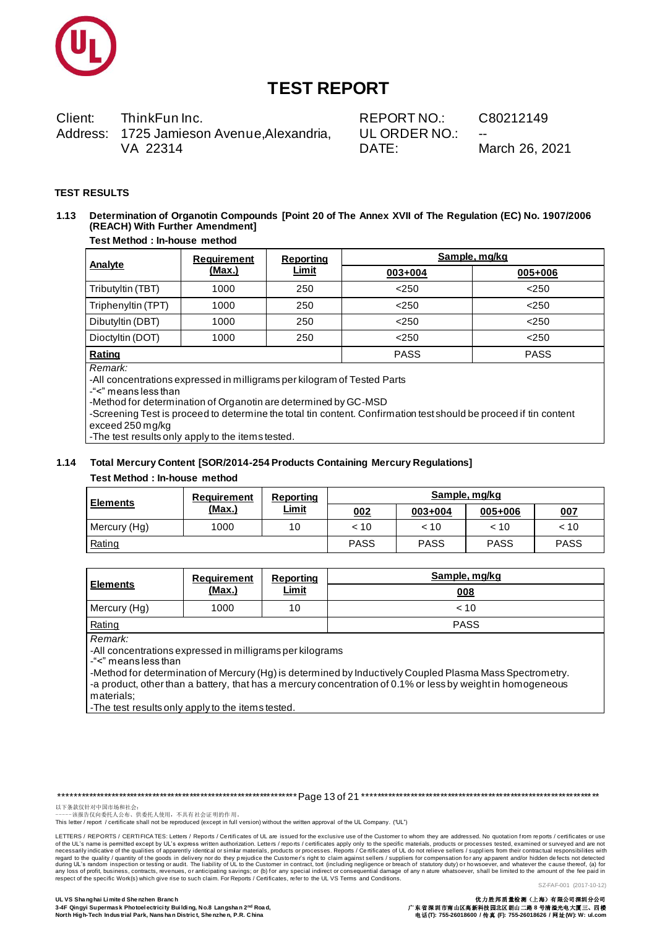

ThinkFun Inc. Client: Address: 1725 Jamieson Avenue, Alexandria, VA 22314

REPORT NO.: UL ORDER NO.: DATE:

C80212149

March 26, 2021

#### **TEST RESULTS**

### 1.13 Determination of Organotin Compounds [Point 20 of The Annex XVII of The Regulation (EC) No. 1907/2006 (REACH) With Further Amendment]

#### **Test Method : In-house method**

| Analyte            | Requirement | Reporting    | Sample, mg/kg |             |  |
|--------------------|-------------|--------------|---------------|-------------|--|
|                    | (Max.)      | <u>Limit</u> | 003+004       | 005+006     |  |
| Tributyltin (TBT)  | 1000        | 250          | < 250         | < 250       |  |
| Triphenyltin (TPT) | 1000        | 250          | < 250         | < 250       |  |
| Dibutyltin (DBT)   | 1000        | 250          | < 250         | < 250       |  |
| Dioctyltin (DOT)   | 1000        | 250          | < 250         | < 250       |  |
| Rating             |             |              | <b>PASS</b>   | <b>PASS</b> |  |

Remark<sup>.</sup>

-All concentrations expressed in milligrams per kilogram of Tested Parts

-"<" means less than

-Method for determination of Organotin are determined by GC-MSD

-Screening Test is proceed to determine the total tin content. Confirmation test should be proceed if tin content exceed 250 mg/kg

-The test results only apply to the items tested.

#### 1.14 Total Mercury Content [SOR/2014-254 Products Containing Mercury Regulations]

#### Test Method : In-house method

| <b>Elements</b> | Requirement | <b>Reporting</b><br><u>Limit</u> | Sample, mg/kg |             |             |             |
|-----------------|-------------|----------------------------------|---------------|-------------|-------------|-------------|
|                 | (Max.)      |                                  | 002           | 003+004     | 005+006     | 007         |
| Mercury (Hg)    | 1000        | 10                               | < 10          | < 10        | < 10        | < 10        |
| Rating          |             |                                  | <b>PASS</b>   | <b>PASS</b> | <b>PASS</b> | <b>PASS</b> |

| <b>Elements</b>          | Requirement | Reporting    | Sample, mg/kg |  |
|--------------------------|-------------|--------------|---------------|--|
|                          | (Max.)      | <u>Limit</u> | 008           |  |
| Mercury (Hg)             | 1000        | 10           | $~<$ 10       |  |
| Rating                   |             |              | <b>PASS</b>   |  |
| $\overline{\phantom{0}}$ |             |              |               |  |

Remark:

-All concentrations expressed in milligrams per kilograms

-"<" means less than

-Method for determination of Mercury (Hg) is determined by Inductively Coupled Plasma Mass Spectrometry. -a product, other than a battery, that has a mercury concentration of 0.1% or less by weight in homogeneous materials;

-The test results only apply to the items tested.

以下条款仅针对中国市场和社会:<br>-----该报告仅向委托人公布、供委托人使用, 不具有社会证明的作用。

This letter / report / certificate shall not be reproduced (except in full version) without the written approval of the UL Company. ("UL")

LETTERS / REPORTS / CERTIFICA TES: Letters / Reports / Certificates of UL are issued for the exclusive use of the Customer to whom they are addressed. No quotation from reports / certificates or use of the UL's name is permitted except by UL's express written authorization. Letters / reports / certificates apply only to the specific materials, products or processes tested, examined or surveyed and are not necessarily regard to the quality / quantity of the goods in delivery nor do they prejudice the Customer's right to claim against sellers / suppliers for compensation for any apparent and/or hidden defects not detected during UL's ran SZ-FAF-001 (2017-10-12)

电话(T): 755-26018600 / 传真 (F): 755-26018626 / 网址(W): W: ul.com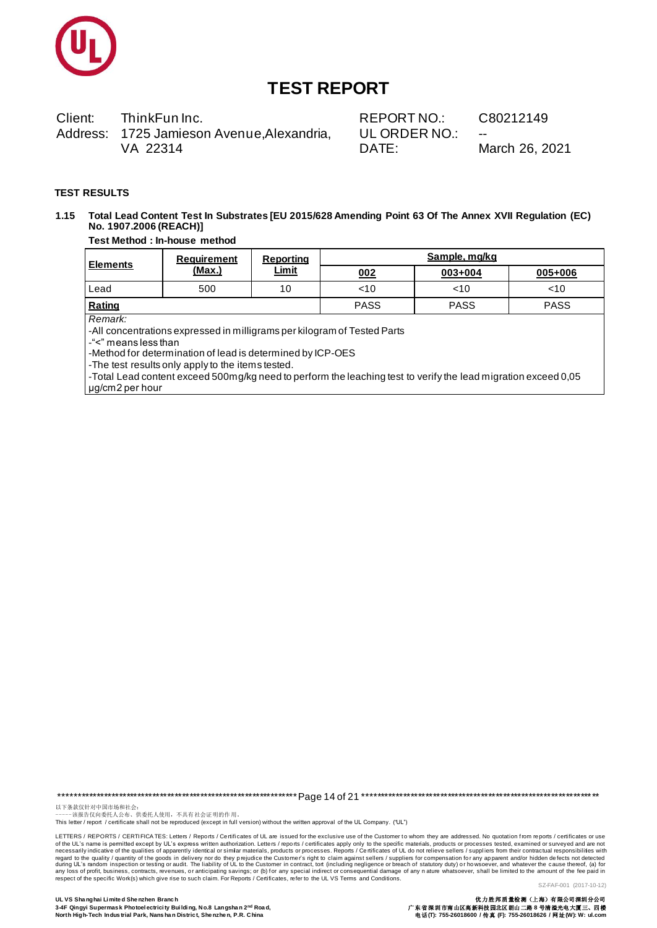

Client: ThinkFun Inc. Address: 1725 Jamieson Avenue, Alexandria, VA 22314

REPORT NO.: UL ORDER NO.: DATE:

C80212149

March 26, 2021

#### **TEST RESULTS**

Total Lead Content Test In Substrates [EU 2015/628 Amending Point 63 Of The Annex XVII Regulation (EC)  $1.15$ No. 1907.2006 (REACH)]

#### Test Method : In-house method

| <b>Elements</b>                                                                                                                                                                                                                                                                                                                                                     | <b>Requirement</b> | Reporting<br>Limit | Sample, mg/kg |         |         |  |  |
|---------------------------------------------------------------------------------------------------------------------------------------------------------------------------------------------------------------------------------------------------------------------------------------------------------------------------------------------------------------------|--------------------|--------------------|---------------|---------|---------|--|--|
|                                                                                                                                                                                                                                                                                                                                                                     | (Max.)             |                    | 002           | 003+004 | 005+006 |  |  |
| Lead                                                                                                                                                                                                                                                                                                                                                                | 500                | 10                 | $<$ 10        | $<$ 10  | $<$ 10  |  |  |
| Rating<br><b>PASS</b><br><b>PASS</b>                                                                                                                                                                                                                                                                                                                                |                    |                    |               |         |         |  |  |
| Remark:<br>-All concentrations expressed in milligrams per kilogram of Tested Parts<br>-"<" means less than<br>-Method for determination of lead is determined by ICP-OES<br>-The test results only apply to the items tested.<br>-Total Lead content exceed 500mg/kg need to perform the leaching test to verify the lead migration exceed 0,05<br>ug/cm2 per hour |                    |                    |               |         |         |  |  |

以下条款仅针对中国市场和社会。<br>------该报告仅向委托人公布、供委托人使用,不具有社会证明的作用。<br>This letter / report / certificate shall not be reproduced (except in full version) without the written approval of the UL Company. ("UL")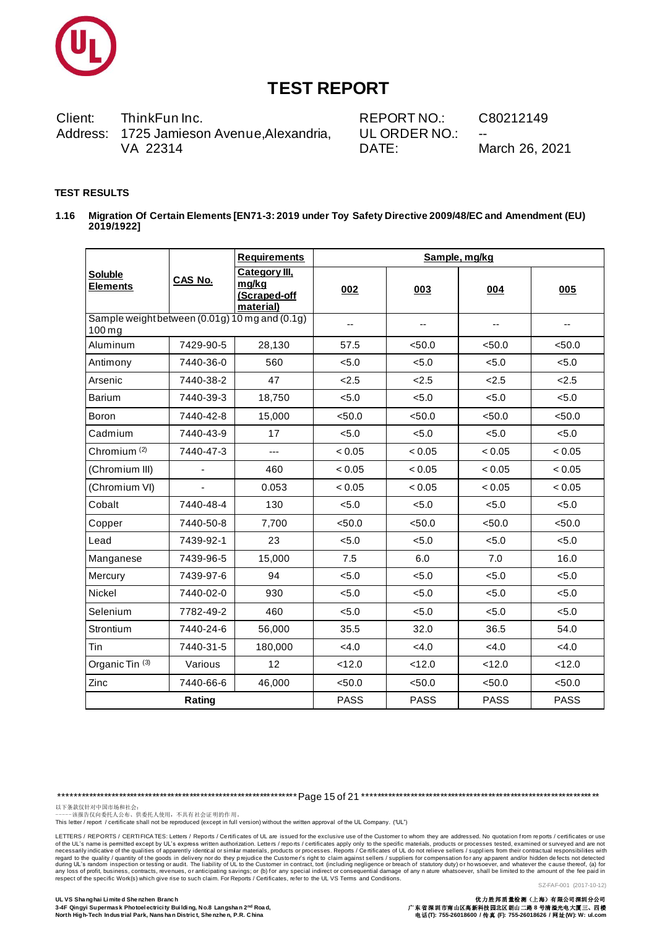

Client: ThinkFun Inc. Address: 1725 Jamieson Avenue, Alexandria, VA 22314

REPORT NO.: UL ORDER NO.: DATE:

C80212149

March 26, 2021

#### **TEST RESULTS**

Migration Of Certain Elements [EN71-3: 2019 under Toy Safety Directive 2009/48/EC and Amendment (EU)  $1.16$ 2019/1922]

|                                                            |           | <b>Requirements</b>                                 | Sample, mg/kg |             |             |                          |  |
|------------------------------------------------------------|-----------|-----------------------------------------------------|---------------|-------------|-------------|--------------------------|--|
| Soluble<br><b>Elements</b>                                 | CAS No.   | Category III,<br>mg/kg<br>(Scraped-off<br>material) | 002           | 003         | 004         | 005                      |  |
| Sample weight between (0.01g) 10 mg and (0.1g)<br>$100$ mg |           |                                                     | $-$           | $-$         | --          | $\overline{\phantom{a}}$ |  |
| Aluminum                                                   | 7429-90-5 | 28,130                                              | 57.5          | < 50.0      | < 50.0      | < 50.0                   |  |
| Antimony                                                   | 7440-36-0 | 560                                                 | < 5.0         | < 5.0       | < 5.0       | < 5.0                    |  |
| Arsenic                                                    | 7440-38-2 | 47                                                  | 2.5           | 2.5         | 2.5         | 2.5                      |  |
| Barium                                                     | 7440-39-3 | 18,750                                              | < 5.0         | < 5.0       | < 5.0       | < 5.0                    |  |
| Boron                                                      | 7440-42-8 | 15,000                                              | < 50.0        | < 50.0      | < 50.0      | < 50.0                   |  |
| Cadmium                                                    | 7440-43-9 | 17                                                  | < 5.0         | < 5.0       | < 5.0       | < 5.0                    |  |
| Chromium $(2)$                                             | 7440-47-3 | ---                                                 | < 0.05        | < 0.05      | < 0.05      | < 0.05                   |  |
| (Chromium III)                                             |           | 460                                                 | < 0.05        | < 0.05      | < 0.05      | < 0.05                   |  |
| (Chromium VI)                                              |           | 0.053                                               | < 0.05        | < 0.05      | < 0.05      | < 0.05                   |  |
| Cobalt                                                     | 7440-48-4 | 130                                                 | < 5.0         | < 5.0       | < 5.0       | < 5.0                    |  |
| Copper                                                     | 7440-50-8 | 7,700                                               | < 50.0        | < 50.0      | < 50.0      | < 50.0                   |  |
| Lead                                                       | 7439-92-1 | 23                                                  | < 5.0         | < 5.0       | < 5.0       | < 5.0                    |  |
| Manganese                                                  | 7439-96-5 | 15,000                                              | 7.5           | 6.0         | 7.0         | 16.0                     |  |
| Mercury                                                    | 7439-97-6 | 94                                                  | < 5.0         | < 5.0       | < 5.0       | < 5.0                    |  |
| Nickel                                                     | 7440-02-0 | 930                                                 | < 5.0         | < 5.0       | < 5.0       | < 5.0                    |  |
| Selenium                                                   | 7782-49-2 | 460                                                 | < 5.0         | < 5.0       | < 5.0       | < 5.0                    |  |
| Strontium                                                  | 7440-24-6 | 56,000                                              | 35.5          | 32.0        | 36.5        | 54.0                     |  |
| Tin                                                        | 7440-31-5 | 180,000                                             | <4.0          | <4.0        | < 4.0       | <4.0                     |  |
| Organic Tin <sup>(3)</sup>                                 | Various   | 12                                                  | < 12.0        | < 12.0      | < 12.0      | < 12.0                   |  |
| Zinc                                                       | 7440-66-6 | 46,000                                              | < 50.0        | < 50.0      | < 50.0      | < 50.0                   |  |
|                                                            | Rating    |                                                     | <b>PASS</b>   | <b>PASS</b> | <b>PASS</b> | <b>PASS</b>              |  |

以下条款仅针对中国市场和社会:<br>------该报告仅向委托人公布、供委托人使用,不具有社会证明的作用。<br>This letter / report / certificate shall not be reproduced (except in full version) without the written approval of the UL Company. ("UL")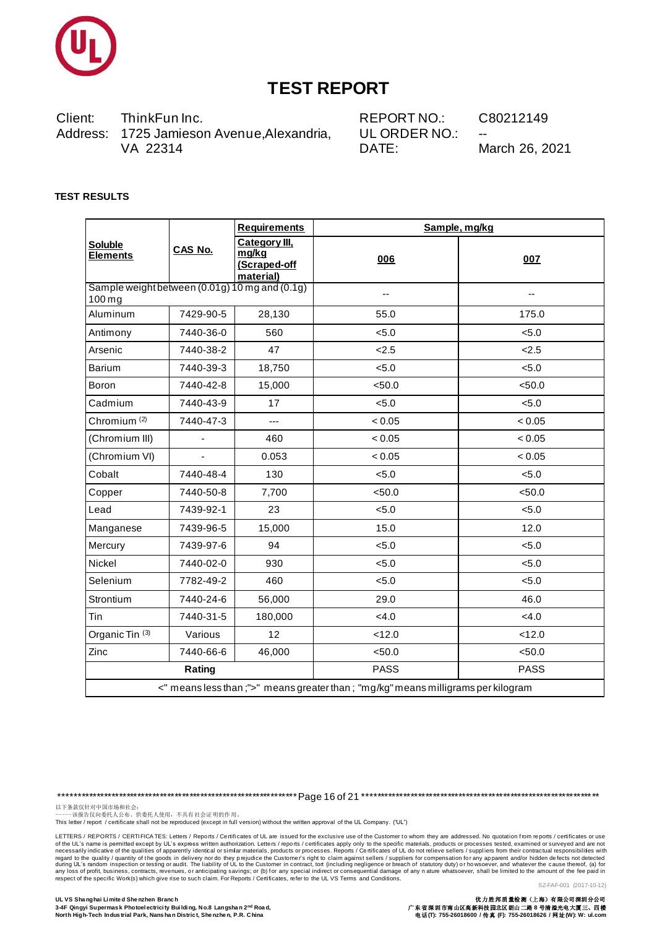

Client: ThinkFun Inc. Address: 1725 Jamieson Avenue, Alexandria, VA 22314

REPORT NO.: UL ORDER NO.: DATE:

C80212149

March 26, 2021

### **TEST RESULTS**

|                                                                                    |           | <b>Requirements</b>                                 | Sample, mg/kg |             |  |  |
|------------------------------------------------------------------------------------|-----------|-----------------------------------------------------|---------------|-------------|--|--|
| <b>Soluble</b><br><b>Elements</b>                                                  | CAS No.   | Category III,<br>mg/kg<br>(Scraped-off<br>material) | 006           | 007         |  |  |
| Sample weight between (0.01g) 10 mg and (0.1g)<br>$100$ mg                         |           |                                                     | --            | --          |  |  |
| Aluminum                                                                           | 7429-90-5 | 28,130                                              | 55.0          | 175.0       |  |  |
| Antimony                                                                           | 7440-36-0 | 560                                                 | < 5.0         | < 5.0       |  |  |
| Arsenic                                                                            | 7440-38-2 | 47                                                  | 2.5           | 2.5         |  |  |
| Barium                                                                             | 7440-39-3 | 18,750                                              | < 5.0         | < 5.0       |  |  |
| Boron                                                                              | 7440-42-8 | 15,000                                              | < 50.0        | < 50.0      |  |  |
| Cadmium                                                                            | 7440-43-9 | 17                                                  | < 5.0         | < 5.0       |  |  |
| Chromium <sup>(2)</sup>                                                            | 7440-47-3 | $\overline{a}$                                      | < 0.05        | < 0.05      |  |  |
| (Chromium III)                                                                     | ÷,        | 460                                                 | < 0.05        | < 0.05      |  |  |
| (Chromium VI)                                                                      |           | 0.053                                               | < 0.05        | < 0.05      |  |  |
| Cobalt                                                                             | 7440-48-4 | 130                                                 | < 5.0         | < 5.0       |  |  |
| Copper                                                                             | 7440-50-8 | 7,700                                               | < 50.0        | < 50.0      |  |  |
| Lead                                                                               | 7439-92-1 | 23                                                  | < 5.0         | < 5.0       |  |  |
| Manganese                                                                          | 7439-96-5 | 15,000                                              | 15.0          | 12.0        |  |  |
| Mercury                                                                            | 7439-97-6 | 94                                                  | < 5.0         | < 5.0       |  |  |
| Nickel                                                                             | 7440-02-0 | 930                                                 | < 5.0         | < 5.0       |  |  |
| Selenium                                                                           | 7782-49-2 | 460                                                 | < 5.0         | < 5.0       |  |  |
| Strontium                                                                          | 7440-24-6 | 56,000                                              | 29.0          | 46.0        |  |  |
| Tin                                                                                | 7440-31-5 | 180,000                                             | <4.0          | <4.0        |  |  |
| Organic Tin <sup>(3)</sup>                                                         | Various   | 12                                                  | < 12.0        | < 12.0      |  |  |
| Zinc                                                                               | 7440-66-6 | 46,000                                              | < 50.0        | < 50.0      |  |  |
| Rating                                                                             |           |                                                     | <b>PASS</b>   | <b>PASS</b> |  |  |
| <" means less than ;">" means greater than ; "mg/kg" means milligrams per kilogram |           |                                                     |               |             |  |  |

以下条款仅针对中国市场和社会:<br>------该报告仅向委托人公布、供委托人使用,不具有社会证明的作用。<br>This letter / report / certificate shall not be reproduced (except in full version) without the written approval of the UL Company. ("UL")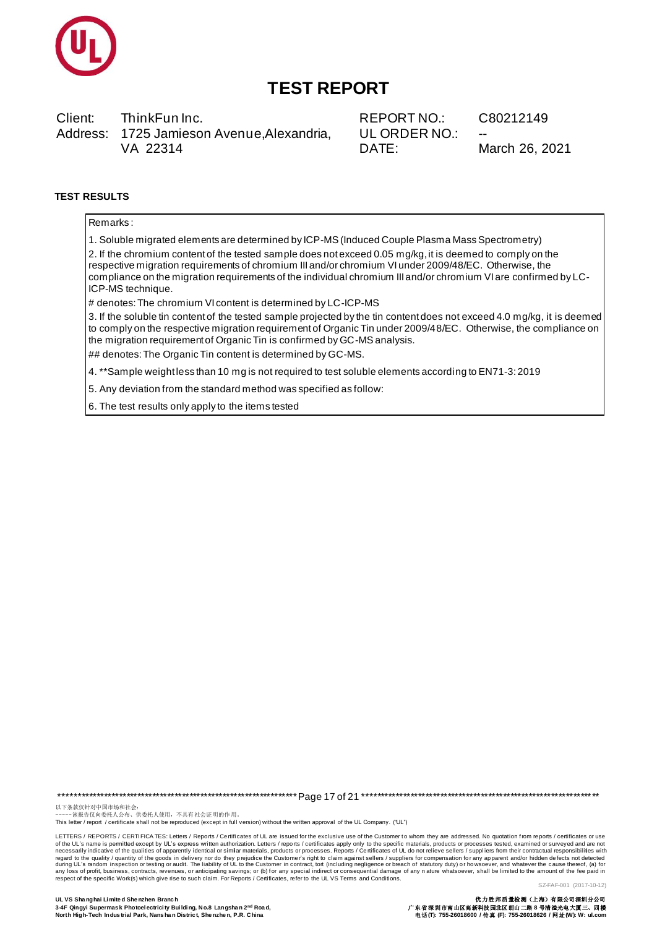

Client: ThinkFun Inc. Address: 1725 Jamieson Avenue, Alexandria, VA 22314

REPORT NO.: UL ORDER NO.: DATE:

C80212149

March 26, 2021

### **TEST RESULTS**

Remarks:

1. Soluble migrated elements are determined by ICP-MS (Induced Couple Plasma Mass Spectrometry)

2. If the chromium content of the tested sample does not exceed 0.05 mg/kg, it is deemed to comply on the respective migration requirements of chromium III and/or chromium VI under 2009/48/EC. Otherwise, the compliance on the migration requirements of the individual chromium III and/or chromium VI are confirmed by LC-ICP-MS technique.

# denotes: The chromium VI content is determined by LC-ICP-MS

3. If the soluble tin content of the tested sample projected by the tin content does not exceed 4.0 mg/kg, it is deemed to comply on the respective migration requirement of Organic Tin under 2009/48/EC. Otherwise, the compliance on the migration requirement of Organic Tin is confirmed by GC-MS analysis.

## denotes: The Organic Tin content is determined by GC-MS.

4. \*\*Sample weightless than 10 mg is not required to test soluble elements according to EN71-3: 2019

5. Any deviation from the standard method was specified as follow:

6. The test results only apply to the items tested

以下条款仅针对中国市场和社会:<br>-----该报告仅向委托人公布、供委托人使用, 不具有社会证明的作用。

This letter / report / certificate shall not be reproduced (except in full version) without the written approval of the UL Company. ("UL")

LETTERS / REPORTS / CERTIFICA TES: Letters / Reports / Certificates of UL are issued for the exclusive use of the Customer to whom they are addressed. No quotation from reports / certificates or use of the UL's name is permitted except by UL's express written authorization. Letters / reports / certificates apply only to the specific materials, products or processes tested, examined or surveyed and are not necessarily regard to the quality / quantity of the goods in delivery nor do they prejudice the Customer's right to claim against sellers / suppliers for compensation for any apparent and/or hidden defects not detected during UL's ran SZ-FAF-001 (2017-10-12)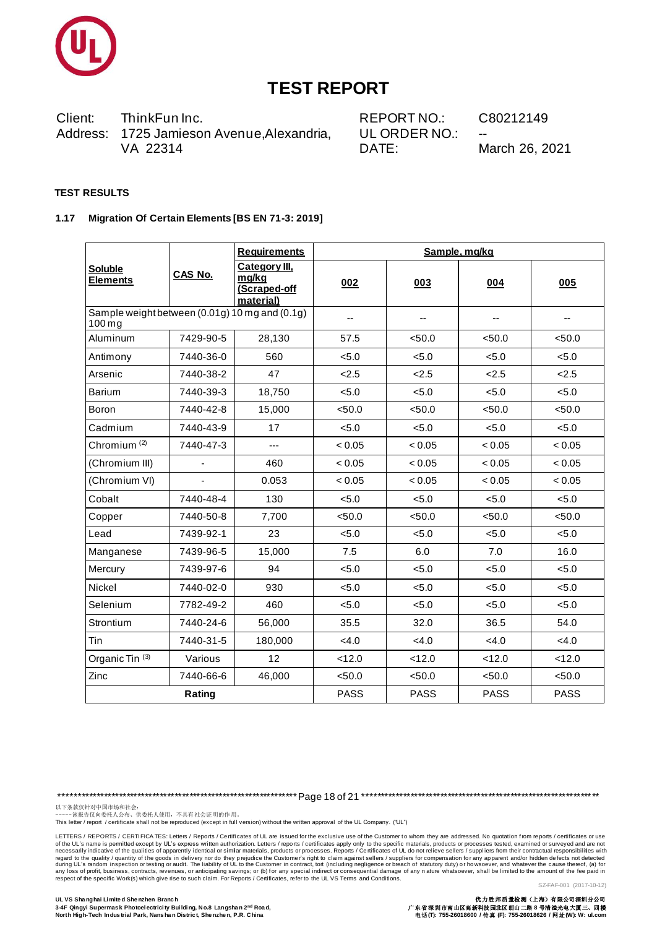

Client: ThinkFun Inc. Address: 1725 Jamieson Avenue, Alexandria, VA 22314

REPORT NO.: UL ORDER NO.: DATE:

C80212149

March 26, 2021

#### **TEST RESULTS**

#### 1.17 Migration Of Certain Elements [BS EN 71-3: 2019]

|                                                            | CAS No.   | <b>Requirements</b>                                 |             | Sample, mg/kg |             |             |
|------------------------------------------------------------|-----------|-----------------------------------------------------|-------------|---------------|-------------|-------------|
| Soluble<br><b>Elements</b>                                 |           | Category III,<br>mg/kg<br>(Scraped-off<br>material) | 002         | 003           | 004         | 005         |
| Sample weight between (0.01g) 10 mg and (0.1g)<br>$100$ mg |           |                                                     | --          | --            | --          | ۰.          |
| Aluminum                                                   | 7429-90-5 | 28,130                                              | 57.5        | < 50.0        | < 50.0      | < 50.0      |
| Antimony                                                   | 7440-36-0 | 560                                                 | < 5.0       | < 5.0         | < 5.0       | < 5.0       |
| Arsenic                                                    | 7440-38-2 | 47                                                  | 2.5         | 2.5           | 2.5         | 2.5         |
| Barium                                                     | 7440-39-3 | 18,750                                              | < 5.0       | < 5.0         | < 5.0       | < 5.0       |
| Boron                                                      | 7440-42-8 | 15,000                                              | < 50.0      | < 50.0        | < 50.0      | < 50.0      |
| Cadmium                                                    | 7440-43-9 | 17                                                  | < 5.0       | < 5.0         | < 5.0       | < 5.0       |
| Chromium <sup>(2)</sup>                                    | 7440-47-3 | ---                                                 | < 0.05      | < 0.05        | < 0.05      | < 0.05      |
| (Chromium III)                                             |           | 460                                                 | < 0.05      | < 0.05        | < 0.05      | < 0.05      |
| (Chromium VI)                                              |           | 0.053                                               | < 0.05      | < 0.05        | < 0.05      | < 0.05      |
| Cobalt                                                     | 7440-48-4 | 130                                                 | < 5.0       | < 5.0         | < 5.0       | < 5.0       |
| Copper                                                     | 7440-50-8 | 7,700                                               | < 50.0      | < 50.0        | < 50.0      | < 50.0      |
| Lead                                                       | 7439-92-1 | 23                                                  | < 5.0       | < 5.0         | < 5.0       | < 5.0       |
| Manganese                                                  | 7439-96-5 | 15,000                                              | 7.5         | 6.0           | 7.0         | 16.0        |
| Mercury                                                    | 7439-97-6 | 94                                                  | < 5.0       | < 5.0         | < 5.0       | < 5.0       |
| Nickel                                                     | 7440-02-0 | 930                                                 | < 5.0       | < 5.0         | < 5.0       | < 5.0       |
| Selenium                                                   | 7782-49-2 | 460                                                 | < 5.0       | < 5.0         | < 5.0       | < 5.0       |
| <b>Strontium</b>                                           | 7440-24-6 | 56,000                                              | 35.5        | 32.0          | 36.5        | 54.0        |
| Tin                                                        | 7440-31-5 | 180,000                                             | <4.0        | <4.0          | <4.0        | <4.0        |
| Organic Tin <sup>(3)</sup>                                 | Various   | 12                                                  | < 12.0      | < 12.0        | < 12.0      | < 12.0      |
| Zinc                                                       | 7440-66-6 | 46,000                                              | < 50.0      | < 50.0        | < 50.0      | < 50.0      |
|                                                            | Rating    |                                                     | <b>PASS</b> | <b>PASS</b>   | <b>PASS</b> | <b>PASS</b> |

以下条款仅针对中国市场和社会:<br>------该报告仅向委托人公布、供委托人使用,不具有社会证明的作用。<br>This letter / report / certificate shall not be reproduced (except in full version) without the written approval of the UL Company. ("UL")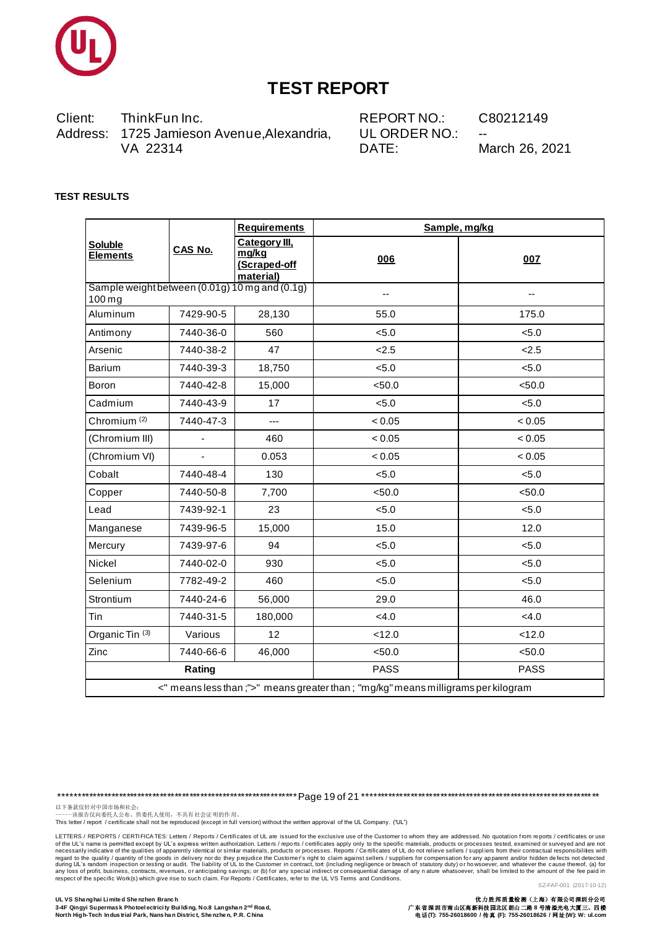

Client: ThinkFun Inc. Address: 1725 Jamieson Avenue, Alexandria, VA 22314

REPORT NO.: UL ORDER NO.: DATE:

C80212149

March 26, 2021

### **TEST RESULTS**

|                                                                                    |           | <b>Requirements</b>                                 | Sample, mg/kg |             |  |  |
|------------------------------------------------------------------------------------|-----------|-----------------------------------------------------|---------------|-------------|--|--|
| <b>Soluble</b><br><b>Elements</b>                                                  | CAS No.   | Category III,<br>mg/kg<br>(Scraped-off<br>material) | 006           | 007         |  |  |
| Sample weight between (0.01g) 10 mg and (0.1g)<br>$100$ mg                         |           |                                                     | --            | --          |  |  |
| Aluminum                                                                           | 7429-90-5 | 28,130                                              | 55.0          | 175.0       |  |  |
| Antimony                                                                           | 7440-36-0 | 560                                                 | < 5.0         | < 5.0       |  |  |
| Arsenic                                                                            | 7440-38-2 | 47                                                  | 2.5           | 2.5         |  |  |
| Barium                                                                             | 7440-39-3 | 18,750                                              | < 5.0         | < 5.0       |  |  |
| Boron                                                                              | 7440-42-8 | 15,000                                              | < 50.0        | < 50.0      |  |  |
| Cadmium                                                                            | 7440-43-9 | 17                                                  | < 5.0         | < 5.0       |  |  |
| Chromium <sup>(2)</sup>                                                            | 7440-47-3 | $\overline{a}$                                      | < 0.05        | < 0.05      |  |  |
| (Chromium III)                                                                     | ÷,        | 460                                                 | < 0.05        | < 0.05      |  |  |
| (Chromium VI)                                                                      |           | 0.053                                               | < 0.05        | < 0.05      |  |  |
| Cobalt                                                                             | 7440-48-4 | 130                                                 | < 5.0         | < 5.0       |  |  |
| Copper                                                                             | 7440-50-8 | 7,700                                               | < 50.0        | < 50.0      |  |  |
| Lead                                                                               | 7439-92-1 | 23                                                  | < 5.0         | < 5.0       |  |  |
| Manganese                                                                          | 7439-96-5 | 15,000                                              | 15.0          | 12.0        |  |  |
| Mercury                                                                            | 7439-97-6 | 94                                                  | < 5.0         | < 5.0       |  |  |
| Nickel                                                                             | 7440-02-0 | 930                                                 | < 5.0         | < 5.0       |  |  |
| Selenium                                                                           | 7782-49-2 | 460                                                 | < 5.0         | < 5.0       |  |  |
| Strontium                                                                          | 7440-24-6 | 56,000                                              | 29.0          | 46.0        |  |  |
| Tin                                                                                | 7440-31-5 | 180,000                                             | < 4.0         | <4.0        |  |  |
| Organic Tin <sup>(3)</sup>                                                         | Various   | 12                                                  | < 12.0        | < 12.0      |  |  |
| Zinc                                                                               | 7440-66-6 | 46,000                                              | < 50.0        | < 50.0      |  |  |
| Rating                                                                             |           |                                                     | <b>PASS</b>   | <b>PASS</b> |  |  |
| <" means less than ;">" means greater than ; "mg/kg" means milligrams per kilogram |           |                                                     |               |             |  |  |

以下条款仅针对中国市场和社会:<br>------该报告仅向委托人公布、供委托人使用,不具有社会证明的作用。<br>This letter / report / certificate shall not be reproduced (except in full version) without the written approval of the UL Company. ("UL")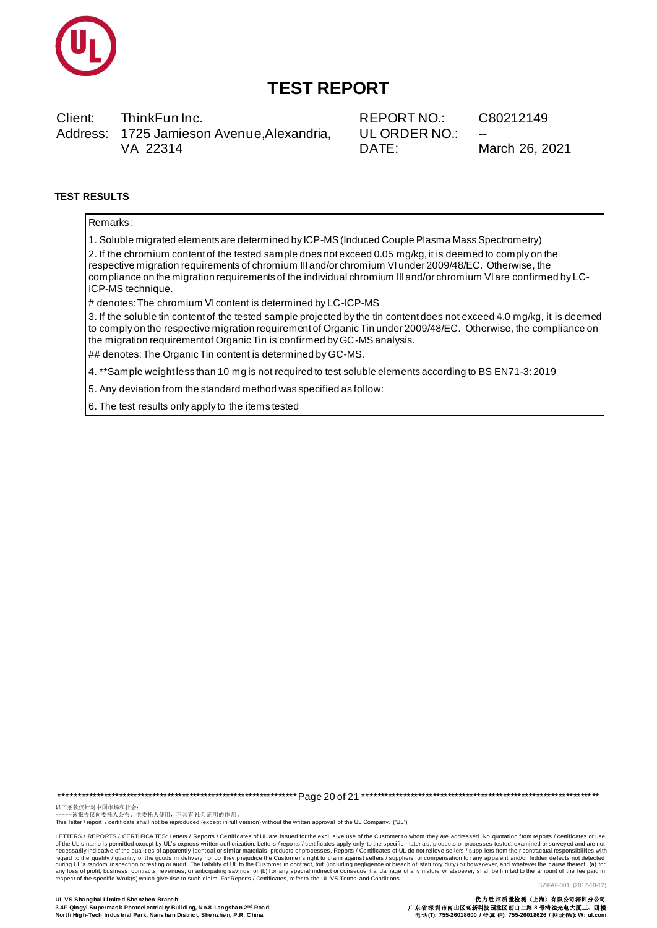

Client: ThinkFun Inc. Address: 1725 Jamieson Avenue, Alexandria, VA 22314

REPORT NO.: UL ORDER NO.: DATE:

C80212149

March 26, 2021

### **TEST RESULTS**

Remarks:

1. Soluble migrated elements are determined by ICP-MS (Induced Couple Plasma Mass Spectrometry)

2. If the chromium content of the tested sample does not exceed 0.05 mg/kg, it is deemed to comply on the respective migration requirements of chromium III and/or chromium VI under 2009/48/EC. Otherwise, the compliance on the migration requirements of the individual chromium III and/or chromium VI are confirmed by LC-ICP-MS technique.

# denotes: The chromium VI content is determined by LC-ICP-MS

3. If the soluble tin content of the tested sample projected by the tin content does not exceed 4.0 mg/kg, it is deemed to comply on the respective migration requirement of Organic Tin under 2009/48/EC. Otherwise, the compliance on the migration requirement of Organic Tin is confirmed by GC-MS analysis.

## denotes: The Organic Tin content is determined by GC-MS.

4. \*\*Sample weight less than 10 mg is not required to test soluble elements according to BS EN71-3:2019

5. Any deviation from the standard method was specified as follow:

6. The test results only apply to the items tested

以下条款仅针对中国市场和社会:<br>-----该报告仅向委托人公布、供委托人使用, 不具有社会证明的作用。

This letter / report / certificate shall not be reproduced (except in full version) without the written approval of the UL Company. ("UL")

LETTERS / REPORTS / CERTIFICA TES: Letters / Reports / Certificates of UL are issued for the exclusive use of the Customer to whom they are addressed. No quotation from reports / certificates or use of the UL's name is permitted except by UL's express written authorization. Letters / reports / certificates apply only to the specific materials, products or processes tested, examined or surveyed and are not necessarily regard to the quality / quantity of the goods in delivery nor do they prejudice the Customer's right to claim against sellers / suppliers for compensation for any apparent and/or hidden defects not detected during UL's ran SZ-FAF-001 (2017-10-12)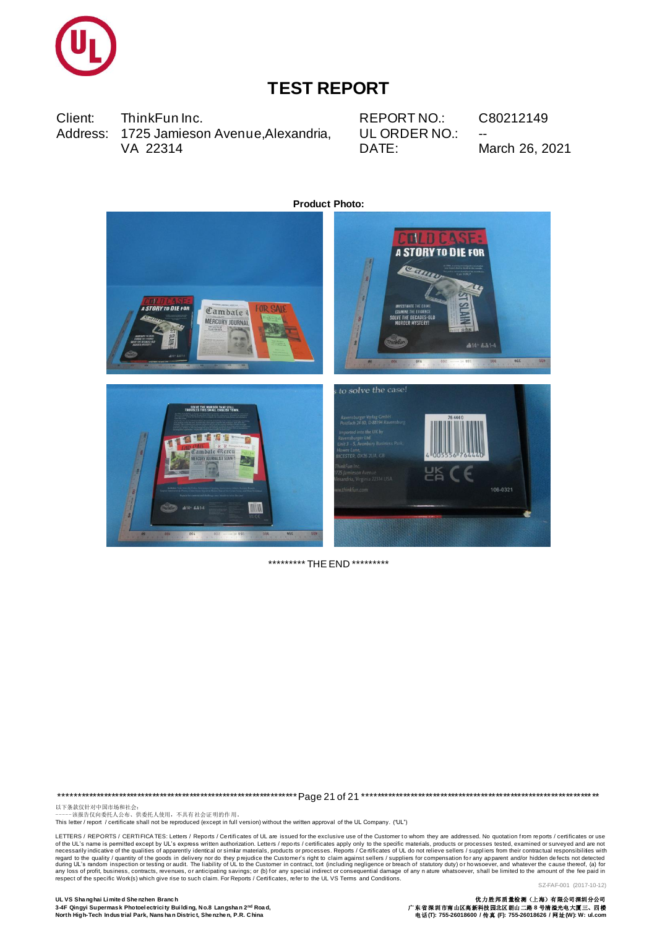

Client: ThinkFun Inc. Address: 1725 Jamieson Avenue, Alexandria, VA 22314

REPORT NO.: UL ORDER NO.: DATE:

C80212149 March 26, 2021



\*\*\*\*\*\*\*\*\*\* THE END \*\*\*\*\*\*\*\*\*

以下条款仅针对中国市场和社会:<br>------该报告仅向委托人公布、供委托人使用,不具有社会证明的作用。<br>This letter / report / certificate shall not be reproduced (except in full version) without the written approval of the UL Company. ("UL")

LETTERS / REPORTS / CERTIFICATES: Letters / Reports / Certificates of UL are issued for the exclusive use of the Customer to whom they are addressed. No quotation from reports / certificates or use Letters / REPORTS / Centifications and the same in participation access the state of the specific Work (S) which particles are the excellent of the state of the state of the state of the particle except by UL's express wit SZ-FAF-001 (2017-10-12)

UL VS Shanghai Limited Shenzhen Branch 3-4F Qingyi Supermask Photoelectricity Building, No.8 Langshan 2nd Road, North High-Tech Industrial Park, Nans han District, Shenzhen, P.R. China

优力胜邦质量检测(上海)有限公司深圳分公司<br>广东省深圳市南山区高新科技园北区朗山二路 8 号清溢光电大厦三、四楼<br>电话 (T): 755-26018600 / 传真 (F): 755-26018626 / 网址(W): W: ul.com